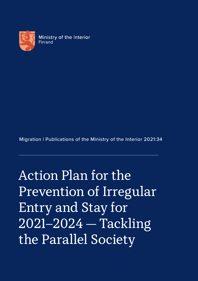

Migration | Publications of the Ministry of the Interior 2021:34

Action Plan for the Prevention of Irregular Entry and Stay for 2021–2024 — Tackling the Parallel Society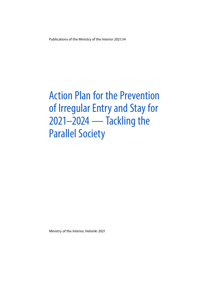Publications of the Ministry of the Interior 2021:34

# Action Plan for the Prevention of Irregular Entry and Stay for 2021–2024 — Tackling the Parallel Society

Ministry of the Interior, Helsinki 2021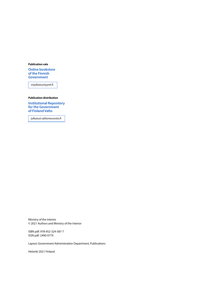#### **Publication sale**

**[Online bookstore](https://vnjulkaisumyynti.fi/)  of the Finnish Government**

vnjulkaisumyynti.fi

#### **Publication distribution**

**[Institutional Repository](https://julkaisut.valtioneuvosto.fi/) for the Government of Finland Valto**

julkaisut.valtioneuvosto.fi

Ministry of the Interior © 2021 Authors and Ministry of the Interior

ISBN pdf: 978-952-324-587-7 ISSN pdf: 2490-077X

Layout: Government Administration Department, Publications

Helsinki 2021 Finland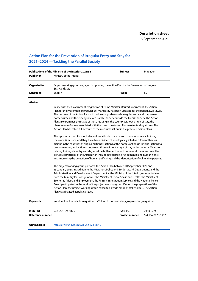16 September 2021

### **Action Plan for the Prevention of Irregular Entry and Stay for 2021–2024 — Tackling the Parallel Society**

| <b>Publisher</b>                           | Publications of the Ministry of the Interior 2021:34<br>Ministry of the Interior                                                                                                                                                                                                                                                                                                                                                                                                                                                                                                                                                                                                                                                                                                                                                                                                                                                                                                                                                                                                                                                                                                                                                                                                                                                                                                                                                                                                                                                                                                                                                                                                                                                                                                                                                                                                                                                                                                                                                                                                                               | <b>Subject</b>                           | Migration                    |
|--------------------------------------------|----------------------------------------------------------------------------------------------------------------------------------------------------------------------------------------------------------------------------------------------------------------------------------------------------------------------------------------------------------------------------------------------------------------------------------------------------------------------------------------------------------------------------------------------------------------------------------------------------------------------------------------------------------------------------------------------------------------------------------------------------------------------------------------------------------------------------------------------------------------------------------------------------------------------------------------------------------------------------------------------------------------------------------------------------------------------------------------------------------------------------------------------------------------------------------------------------------------------------------------------------------------------------------------------------------------------------------------------------------------------------------------------------------------------------------------------------------------------------------------------------------------------------------------------------------------------------------------------------------------------------------------------------------------------------------------------------------------------------------------------------------------------------------------------------------------------------------------------------------------------------------------------------------------------------------------------------------------------------------------------------------------------------------------------------------------------------------------------------------------|------------------------------------------|------------------------------|
|                                            |                                                                                                                                                                                                                                                                                                                                                                                                                                                                                                                                                                                                                                                                                                                                                                                                                                                                                                                                                                                                                                                                                                                                                                                                                                                                                                                                                                                                                                                                                                                                                                                                                                                                                                                                                                                                                                                                                                                                                                                                                                                                                                                |                                          |                              |
| Organisation                               | Project working group engaged in updating the Action Plan for the Prevention of Irregular<br><b>Entry and Stay</b>                                                                                                                                                                                                                                                                                                                                                                                                                                                                                                                                                                                                                                                                                                                                                                                                                                                                                                                                                                                                                                                                                                                                                                                                                                                                                                                                                                                                                                                                                                                                                                                                                                                                                                                                                                                                                                                                                                                                                                                             |                                          |                              |
| Language                                   | English                                                                                                                                                                                                                                                                                                                                                                                                                                                                                                                                                                                                                                                                                                                                                                                                                                                                                                                                                                                                                                                                                                                                                                                                                                                                                                                                                                                                                                                                                                                                                                                                                                                                                                                                                                                                                                                                                                                                                                                                                                                                                                        | <b>Pages</b>                             | 80                           |
| <b>Abstract</b>                            |                                                                                                                                                                                                                                                                                                                                                                                                                                                                                                                                                                                                                                                                                                                                                                                                                                                                                                                                                                                                                                                                                                                                                                                                                                                                                                                                                                                                                                                                                                                                                                                                                                                                                                                                                                                                                                                                                                                                                                                                                                                                                                                |                                          |                              |
|                                            | In line with the Government Programme of Prime Minister Marin's Government, the Action<br>Plan for the Prevention of Irregular Entry and Stay has been updated for the period 2021-2024.<br>The purpose of the Action Plan is to tackle comprehensively irregular entry and stay, cross-<br>border crime and the emergence of a parallel society outside the Finnish society. The Action<br>Plan also examines the status of those residing in the country without a right of stay, the<br>phenomena of abuse associated with them and the status of human trafficking victims. The<br>Action Plan has taken full account of the measures set out in the previous action plans.<br>The updated Action Plan includes actions at both strategic and operational levels. In total,<br>there are 52 actions, and they have been divided chronologically into five different themes:<br>actions in the countries of origin and transit, actions at the border, actions in Finland, actions to<br>promote return, and actions concerning those without a right of stay in the country. Measures<br>relating to irregular entry and stay must be both effective and humane at the same time. The<br>pervasive principles of the Action Plan include safeguarding fundamental and human rights<br>and improving the detection of human trafficking and the identification of vulnerable persons.<br>The project working group prepared the Action Plan between 10 September 2020 and<br>15 January 2021. In addition to the Migration, Police and Border Guard Departments and the<br>Administration and Development Department at the Ministry of the Interior, representatives<br>from the Ministry for Foreign Affairs, the Ministry of Social Affairs and Health, the Ministry of<br>Economic Affairs and Employment, the Finnish Immigration Service and the National Police<br>Board participated in the work of the project working group. During the preparation of the<br>Action Plan, the project working group consulted a wide range of stakeholders. The Action<br>Plan was finalised at political level. |                                          |                              |
| <b>Keywords</b>                            | immigration, irregular immigration, trafficking in human beings, exploitation, migration                                                                                                                                                                                                                                                                                                                                                                                                                                                                                                                                                                                                                                                                                                                                                                                                                                                                                                                                                                                                                                                                                                                                                                                                                                                                                                                                                                                                                                                                                                                                                                                                                                                                                                                                                                                                                                                                                                                                                                                                                       |                                          |                              |
| <b>ISBN PDF</b><br><b>Reference number</b> | 978-952-324-587-7                                                                                                                                                                                                                                                                                                                                                                                                                                                                                                                                                                                                                                                                                                                                                                                                                                                                                                                                                                                                                                                                                                                                                                                                                                                                                                                                                                                                                                                                                                                                                                                                                                                                                                                                                                                                                                                                                                                                                                                                                                                                                              | <b>ISSN PDF</b><br><b>Project number</b> | 2490-077X<br>SMDno-2020-1957 |
| <b>URN address</b>                         | http://urn.fi/URN:ISBN:978-952-324-587-7                                                                                                                                                                                                                                                                                                                                                                                                                                                                                                                                                                                                                                                                                                                                                                                                                                                                                                                                                                                                                                                                                                                                                                                                                                                                                                                                                                                                                                                                                                                                                                                                                                                                                                                                                                                                                                                                                                                                                                                                                                                                       |                                          |                              |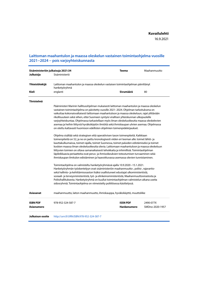16.9.2021

#### **Laittoman maahantulon ja maassa oleskelun vastainen toimintaohjelma vuosille 2021−2024 − pois varjoyhteiskunnasta**

| Julkaisija         | Sisäministeriön julkaisuja 2021:34<br>Sisäministeriö                                                                                                                                                                                                                                                                                                                                                                                                                                                                                                                                                                                                                                                                                                                                                                                                                                                                                                                                                                                                                                                                                                                                                                                                                                                                                                                                                                                                                                                                                                                                                                                                                                                                                                                                                                                                                      | <b>Teema</b>       | Maahanmuutto    |
|--------------------|---------------------------------------------------------------------------------------------------------------------------------------------------------------------------------------------------------------------------------------------------------------------------------------------------------------------------------------------------------------------------------------------------------------------------------------------------------------------------------------------------------------------------------------------------------------------------------------------------------------------------------------------------------------------------------------------------------------------------------------------------------------------------------------------------------------------------------------------------------------------------------------------------------------------------------------------------------------------------------------------------------------------------------------------------------------------------------------------------------------------------------------------------------------------------------------------------------------------------------------------------------------------------------------------------------------------------------------------------------------------------------------------------------------------------------------------------------------------------------------------------------------------------------------------------------------------------------------------------------------------------------------------------------------------------------------------------------------------------------------------------------------------------------------------------------------------------------------------------------------------------|--------------------|-----------------|
| Yhteistötekijä     | Laittoman maahantulon ja maassa oleskelun vastaisen toimintaohjelman päivittänyt<br>hanketyöryhmä                                                                                                                                                                                                                                                                                                                                                                                                                                                                                                                                                                                                                                                                                                                                                                                                                                                                                                                                                                                                                                                                                                                                                                                                                                                                                                                                                                                                                                                                                                                                                                                                                                                                                                                                                                         |                    |                 |
| Kieli              | englanti                                                                                                                                                                                                                                                                                                                                                                                                                                                                                                                                                                                                                                                                                                                                                                                                                                                                                                                                                                                                                                                                                                                                                                                                                                                                                                                                                                                                                                                                                                                                                                                                                                                                                                                                                                                                                                                                  | Sivumäärä          | 80              |
| <b>Tiivistelmä</b> |                                                                                                                                                                                                                                                                                                                                                                                                                                                                                                                                                                                                                                                                                                                                                                                                                                                                                                                                                                                                                                                                                                                                                                                                                                                                                                                                                                                                                                                                                                                                                                                                                                                                                                                                                                                                                                                                           |                    |                 |
|                    | Pääministeri Marinin hallitusohjelman mukaisesti laittoman maahantulon ja maassa oleskelun<br>vastainen toimintaohjelma on päivitetty vuosille 2021–2024. Ohjelman tarkoituksena on<br>vaikuttaa kokonaisvaltaisesti laittomaan maahantuloon ja maassa oleskeluun, rajat ylittävään<br>rikollisuuteen sekä siihen, ettei Suomeen syntyisi virallisen yhteiskunnan ulkopuolelle<br>varjoyhteiskuntaa. Ohjelmassa tarkastellaan myös ilman oleskeluoikeutta maassa oleskelevien<br>asemaa ja heihin liittyviä hyväksikäytön ilmiöitä sekä ihmiskaupan uhrien asemaa. Ohjelmassa<br>on otettu kattavasti huomioon edellisten ohjelmien toimenpidekirjaukset.<br>Ohjelma sisältää sekä strategisen että operatiivisen tason toimenpiteitä. Kaikkiaan<br>toimenpiteitä on 52, ja ne on jaettu kronologisesti viiden eri teeman alle: toimet lähtö- ja<br>kauttakulkumaissa, toimet rajalla, toimet Suomessa, toimet paluiden edistämiseksi ja toimet<br>koskien maassa ilman oleskeluoikeutta olevia. Laittomaan maahantuloon ja maassa oleskeluun<br>liittyvien toimien on oltava samanaikaisesti tehokkaita ja inhimillisiä. Toimintaohjelman<br>läpileikkaavia periaatteita ovat perus- ja ihmisoikeuksien toteutumisen turvaaminen sekä<br>ihmiskaupan ilmitulon edistäminen ja haavoittuvassa asemassa olevien tunnistaminen.<br>Toimintaohjelma on valmisteltu hanketyöryhmässä ajalla 10.9.2020–15.1.2021.<br>Hanketyöryhmän työskentelyyn ovat sisäministeriön maahanmuutto-, poliisi-, rajavartio-<br>sekä hallinto- ja kehittämisosaston lisäksi osallistuneet edustajat ulkoministeriöstä,<br>sosiaali- ja terveysministeriöstä, työ- ja elinkeinoministeriöstä, Maahanmuuttovirastosta ja<br>Poliisihallituksesta. Hanketyöryhmä on kuullut toimintaohjelman valmistelun aikana useita<br>sidosryhmiä. Toimintaohjelma on viimeistelty poliittisessa käsittelyssä. |                    |                 |
| <b>Asiasanat</b>   | maahanmuutto, laiton maahanmuutto, ihmiskauppa, hyväksikäyttö, muuttoliike                                                                                                                                                                                                                                                                                                                                                                                                                                                                                                                                                                                                                                                                                                                                                                                                                                                                                                                                                                                                                                                                                                                                                                                                                                                                                                                                                                                                                                                                                                                                                                                                                                                                                                                                                                                                |                    |                 |
| <b>ISBN PDF</b>    | 978-952-324-587-7                                                                                                                                                                                                                                                                                                                                                                                                                                                                                                                                                                                                                                                                                                                                                                                                                                                                                                                                                                                                                                                                                                                                                                                                                                                                                                                                                                                                                                                                                                                                                                                                                                                                                                                                                                                                                                                         | <b>ISSN PDF</b>    | 2490-077X       |
| Asianumero         |                                                                                                                                                                                                                                                                                                                                                                                                                                                                                                                                                                                                                                                                                                                                                                                                                                                                                                                                                                                                                                                                                                                                                                                                                                                                                                                                                                                                                                                                                                                                                                                                                                                                                                                                                                                                                                                                           | <b>Hankenumero</b> | SMDno-2020-1957 |
| Julkaisun osoite   | http://urn.fi/URN:ISBN:978-952-324-587-7                                                                                                                                                                                                                                                                                                                                                                                                                                                                                                                                                                                                                                                                                                                                                                                                                                                                                                                                                                                                                                                                                                                                                                                                                                                                                                                                                                                                                                                                                                                                                                                                                                                                                                                                                                                                                                  |                    |                 |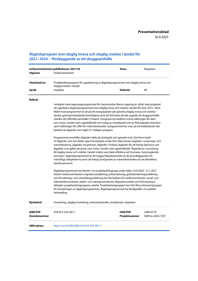#### **Åtgärdsprogram mot olaglig inresa och olaglig vistelse i landet för 2021–2024 − förebyggande av ett skuggsamhälle**

| Inrikesministeriets publikationer 2021:34 |                                                                                                                                                                                                                                                                                                                                                                                                                                                                                                                                                                                                                                                                                                                                                                                                                                                                                                                                                                                                                                                                                                                                                                                                                                                                                                                                                                                                                                                                                                                                                                                                                                                                                                                                                                                                                                                                                                                                                                                                                                                       | Tema                             | Migration                    |
|-------------------------------------------|-------------------------------------------------------------------------------------------------------------------------------------------------------------------------------------------------------------------------------------------------------------------------------------------------------------------------------------------------------------------------------------------------------------------------------------------------------------------------------------------------------------------------------------------------------------------------------------------------------------------------------------------------------------------------------------------------------------------------------------------------------------------------------------------------------------------------------------------------------------------------------------------------------------------------------------------------------------------------------------------------------------------------------------------------------------------------------------------------------------------------------------------------------------------------------------------------------------------------------------------------------------------------------------------------------------------------------------------------------------------------------------------------------------------------------------------------------------------------------------------------------------------------------------------------------------------------------------------------------------------------------------------------------------------------------------------------------------------------------------------------------------------------------------------------------------------------------------------------------------------------------------------------------------------------------------------------------------------------------------------------------------------------------------------------------|----------------------------------|------------------------------|
| <b>Utgivare</b>                           | Inrikesministeriet                                                                                                                                                                                                                                                                                                                                                                                                                                                                                                                                                                                                                                                                                                                                                                                                                                                                                                                                                                                                                                                                                                                                                                                                                                                                                                                                                                                                                                                                                                                                                                                                                                                                                                                                                                                                                                                                                                                                                                                                                                    |                                  |                              |
| Utarbetad av:                             | Projektarbetsgruppen för uppdatering av åtgärdsprogrammet mot olaglig inresa och<br>olaglig vistelse i landet                                                                                                                                                                                                                                                                                                                                                                                                                                                                                                                                                                                                                                                                                                                                                                                                                                                                                                                                                                                                                                                                                                                                                                                                                                                                                                                                                                                                                                                                                                                                                                                                                                                                                                                                                                                                                                                                                                                                         |                                  |                              |
| Språk                                     | engelska                                                                                                                                                                                                                                                                                                                                                                                                                                                                                                                                                                                                                                                                                                                                                                                                                                                                                                                                                                                                                                                                                                                                                                                                                                                                                                                                                                                                                                                                                                                                                                                                                                                                                                                                                                                                                                                                                                                                                                                                                                              | <b>Sidantal</b>                  | 80                           |
| Referat                                   |                                                                                                                                                                                                                                                                                                                                                                                                                                                                                                                                                                                                                                                                                                                                                                                                                                                                                                                                                                                                                                                                                                                                                                                                                                                                                                                                                                                                                                                                                                                                                                                                                                                                                                                                                                                                                                                                                                                                                                                                                                                       |                                  |                              |
|                                           | I enlighet med regeringsprogrammet för statsminister Marins regering är syftet med projektet<br>att uppdatera åtgärdsprogrammet mot olaglig inresa och vistelse i landet för åren 2021–2024.<br>Målet med programmet är att på ett övergripande sätt påverka olaglig inresa och vistelse i<br>landet, gränsöverskridande brottslighet samt att förhindra att det uppstår ett skuggsamhälle<br>utanför det officiella samhället i Finland. I programmet bedöms också ställningen för dem<br>som vistas i landet utan uppehållsrätt och inslag av utnyttjande som är förknippade med dem<br>samt ställningen för offer för människohandel. I programmet har man på ett heltäckande sätt<br>beaktat de åtgärder som tagits in i tidigare program.<br>Programmet innehåller åtgärder både på strategisk och operativ nivå. Det finns totalt<br>52 åtgärder som har delats upp kronologiskt under fem olika teman: årgärder i ursprungs- och<br>transitländerna, åtgärder vid gränsen, åtgärder i Finland, åtgärder för att främja återresor och<br>åtgärder som gäller personer som vistas i landet utan uppehållsrätt. Åtgärderna i anslutning<br>till olaglig inresa och vistelse i landet måste vara både effektiva och humana. Genomgående<br>principer i åtgärdsprogrammet är att trygga tillgodoseendet av de grundläggande och<br>mänskliga rättigheterna samt att främja avslöjandet av människohandel och att identifiera<br>utsatta personer.<br>Åtgärdsprogrammet har beretts i en projektarbetsgrupp under tiden 10.9.2020–15.1.2021.<br>Utöver inrikesministeriets migrationsavdelning, polisavdelning, gränsbevakningsavdelning<br>och förvaltnings- och utvecklingsavdelning har företrädare för utrikesministeriet, social- och<br>hälsovårdsministeriet, arbets- och näringsministeriet, Migrationsverket och Polisstyrelsen<br>deltagit i projektarbetsgruppens arbete. Projektarbetsgruppen har hört flera intressentgrupper<br>för beredningen av åtgärdsprogrammet. Åtgärdsprogrammet har färdigställts i en politisk<br>behandling. |                                  |                              |
| <b>Nyckelord</b>                          | invandring, olaglig invandring, människohandel, utnyttjande, migration                                                                                                                                                                                                                                                                                                                                                                                                                                                                                                                                                                                                                                                                                                                                                                                                                                                                                                                                                                                                                                                                                                                                                                                                                                                                                                                                                                                                                                                                                                                                                                                                                                                                                                                                                                                                                                                                                                                                                                                |                                  |                              |
| <b>ISBN PDF</b><br>Ärendenummer           | 978-952-324-587-7                                                                                                                                                                                                                                                                                                                                                                                                                                                                                                                                                                                                                                                                                                                                                                                                                                                                                                                                                                                                                                                                                                                                                                                                                                                                                                                                                                                                                                                                                                                                                                                                                                                                                                                                                                                                                                                                                                                                                                                                                                     | <b>ISSN PDF</b><br>Projektnummer | 2490-077X<br>SMDno-2020-1957 |
| <b>URN-adress</b>                         | http://urn.fi/URN:ISBN:978-952-324-587-7                                                                                                                                                                                                                                                                                                                                                                                                                                                                                                                                                                                                                                                                                                                                                                                                                                                                                                                                                                                                                                                                                                                                                                                                                                                                                                                                                                                                                                                                                                                                                                                                                                                                                                                                                                                                                                                                                                                                                                                                              |                                  |                              |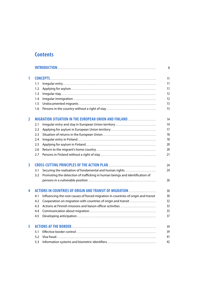### **Contents**

|                |     |                                                                                    | 8  |
|----------------|-----|------------------------------------------------------------------------------------|----|
| 1              |     |                                                                                    | 11 |
|                | 1.1 |                                                                                    | 11 |
|                | 1.2 |                                                                                    | 11 |
|                | 1.3 |                                                                                    | 12 |
|                | 1.4 |                                                                                    | 12 |
|                | 1.5 |                                                                                    | 13 |
|                | 1.6 |                                                                                    | 13 |
| $\overline{2}$ |     |                                                                                    | 14 |
|                | 2.1 |                                                                                    | 14 |
|                | 2.2 |                                                                                    | 17 |
|                | 2.3 |                                                                                    | 18 |
|                | 2.4 |                                                                                    | 18 |
|                | 2.5 |                                                                                    | 20 |
|                | 2.6 |                                                                                    | 20 |
|                | 2.7 |                                                                                    | 21 |
| 3              |     |                                                                                    | 24 |
|                | 3.1 | Securing the realisation of fundamental and human rights                           | 24 |
|                | 3.2 | Promoting the detection of trafficking in human beings and identification of       |    |
|                |     |                                                                                    | 26 |
| 4              |     | ACTIONS IN COUNTRIES OF ORIGIN AND TRANSIT OF MIGRATION                            | 30 |
|                | 4.1 | Influencing the root causes of forced migration in countries of origin and transit | 30 |
|                | 4.2 | Cooperation on migration with countries of origin and transit                      | 32 |
|                | 4.3 |                                                                                    | 33 |
|                | 4.4 |                                                                                    | 35 |
|                | 4.5 |                                                                                    | 37 |
| 5              |     |                                                                                    | 39 |
|                | 5.1 |                                                                                    | 39 |
|                | 5.2 |                                                                                    | 41 |
|                | 5.3 |                                                                                    | 42 |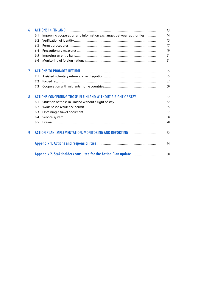| 6              |     |                                                                     | 43 |
|----------------|-----|---------------------------------------------------------------------|----|
|                | 6.1 | Improving cooperation and information exchanges between authorities | 44 |
|                | 6.2 |                                                                     | 45 |
|                | 6.3 |                                                                     | 47 |
|                | 6.4 |                                                                     | 49 |
|                | 6.5 |                                                                     | 51 |
|                | 6.6 |                                                                     | 51 |
| $\overline{7}$ |     |                                                                     | 55 |
|                | 7.1 |                                                                     | 55 |
|                | 7.2 |                                                                     | 57 |
|                | 7.3 |                                                                     | 60 |
| 8              |     | ACTIONS CONCERNING THOSE IN FINLAND WITHOUT A RIGHT OF STAY         | 62 |
|                | 8.1 |                                                                     | 62 |
|                | 8.2 |                                                                     | 65 |
|                | 8.3 |                                                                     | 67 |
|                | 8.4 |                                                                     | 68 |
|                | 8.5 |                                                                     | 70 |
| 9              |     | ACTION PLAN IMPLEMENTATION, MONITORING AND REPORTING                | 72 |
|                |     |                                                                     | 74 |
|                |     | Appendix 2. Stakeholders consulted for the Action Plan update       | 80 |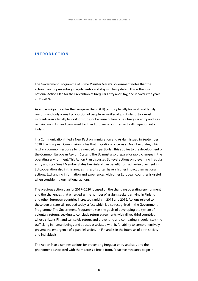#### <span id="page-8-0"></span>**INTRODUCTION**

The Government Programme of Prime Minister Marin's Government notes that the action plan for preventing irregular entry and stay will be updated. This is the fourth national Action Plan for the Prevention of Irregular Entry and Stay, and it covers the years 2021–2024.

As a rule, migrants enter the European Union (EU) territory legally for work and family reasons, and only a small proportion of people arrive illegally. In Finland, too, most migrants arrive legally to work or study, or because of family ties. Irregular entry and stay remain rare in Finland compared to other European countries, or to all migration into Finland.

In a Communication titled a New Pact on Immigration and Asylum issued in September 2020, the European Commission notes that migration concerns all Member States, which is why a common response to it is needed. In particular, this applies to the development of the Common European Asylum System. The EU must also prepare for rapid changes in the operating environment. This Action Plan discusses EU-level actions on preventing irregular entry and stay. Small Member States like Finland can benefit from active involvement in EU cooperation also in this area, as its results often have a higher impact than national actions. Exchanging information and experiences with other European countries is useful when considering our national actions.

The previous action plan for 2017–2020 focused on the changing operating environment and the challenges that emerged as the number of asylum seekers arriving in Finland and other European countries increased rapidly in 2015 and 2016. Actions related to these persons are still needed today, a fact which is also recognised in the Government Programme. The Government Programme sets the goals of developing the system of voluntary returns, seeking to conclude return agreements with all key third countries whose citizens Finland can safely return, and preventing and combating irregular stay, the trafficking in human beings and abuses associated with it. An ability to comprehensively prevent the emergence of a 'parallel society' in Finland is in the interests of both society and individuals.

The Action Plan examines actions for preventing irregular entry and stay and the phenomena associated with them across a broad front. Proactive measures begin in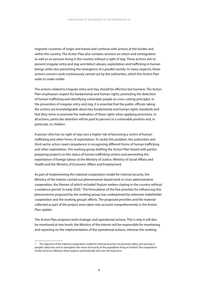migrants' countries of origin and transit and continue with actions at the border and within the country. The Action Plan also contains sections on return and reintegration as well as on persons living in the country without a right of stay. These actions aim to prevent irregular entry and stay and detect abuses, exploitation and trafficking in human beings while also preventing the emergence of a parallel society. In many respects, these actions concern work continuously carried out by the authorities, which this Action Plan seeks to make visible.

The actions related to irregular entry and stay should be effective but humane. The Action Plan emphasises respect for fundamental and human rights, promoting the detection of human trafficking and identifying vulnerable people as cross-cutting principles. In the prevention of irregular entry and stay, it is essential that the public officials taking the actions are knowledgeable about key fundamental and human rights standards and that they strive to promote the realisation of these rights when applying provisions. In all actions, particular attention will be paid to persons in a vulnerable position and, in particular, to children.

A person who has no right of stay runs a higher risk of becoming a victim of human trafficking and other forms of exploitation. To tackle this problem, the authorities and third sector actors need competence in recognising different forms of human trafficking and other exploitation. The working group drafting the Action Plan liaised with parties preparing projects on the status of human trafficking victims and preventing the exploitation of foreign labour at the Ministry of Justice, Ministry of Social Affairs and Health and the Ministry of Economic Affairs and Employment.

As part of implementing the national cooperation model for internal security, the Ministry of the Interior carried out phenomenon-based work in cross-administrative cooperation, the themes of which included 'Asylum seekers staying in the country without a residence permit' in early 2020.<sup>1</sup> The formulation of the five priorities for influencing this phenomenon proposed by the working group was underpinned by extensive stakeholder cooperation and the working group's efforts. The proposed priorities and the material collected as part of the project were taken into account comprehensively in the Action Plan update.

The Action Plan proposes both strategic and operational actions. This is why it will also be monitored at two levels: the Ministry of the Interior will be responsible for monitoring and reporting on the implementation of the operational actions, whereas the working

<sup>1</sup> The objective of the national cooperation model for internal security is to promote safety and security in people's daily lives and to strengthen the sense of security of the population living in Finland. The cooperation model strives to influence these aspects systematically and over the long term.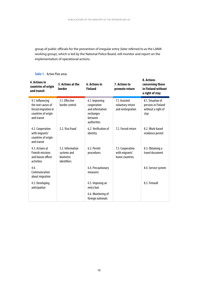group of public officials for the prevention of irregular entry (later referred to as the LAMA working group), which is led by the National Police Board, will monitor and report on the implementation of operational actions.

| <b>4. Actions in</b><br>countries of origin<br>and transit                                          | 5. Actions at the<br>border                                 | <b>6. Actions in</b><br><b>Finland</b>                                                  | 7. Actions to<br>promote return                        | 8. Actions<br>concerning those<br>in Finland without<br>a right of stay |
|-----------------------------------------------------------------------------------------------------|-------------------------------------------------------------|-----------------------------------------------------------------------------------------|--------------------------------------------------------|-------------------------------------------------------------------------|
| 4.1. Influencing<br>the root causes of<br>forced migration in<br>countries of origin<br>and transit | 5.1. Effective<br>border control                            | 6.1. Improving<br>cooperation<br>and information<br>exchanges<br>between<br>authorities | 7.1. Assisted<br>voluntary return<br>and reintegration | 8.1. Situation of<br>persons in Finland<br>without a right of<br>stay   |
| 4.2. Cooperation<br>with migrants'<br>countries of origin<br>and transit                            | 5.2. Visa fraud                                             | 6.2. Verification of<br>identity                                                        | 7.2. Forced return                                     | 8.2. Work-based<br>residence permit                                     |
| 4.3. Actions at<br><b>Finnish missions</b><br>and liaison officer<br>activities                     | 5.3. Information<br>systems and<br>biometric<br>identifiers | 6.3. Permit<br>procedures                                                               | 7.3. Cooperation<br>with migrants'<br>home countries   | 8.3. Obtaining a<br>travel document                                     |
| 4.4.<br>Communication<br>about migration                                                            |                                                             | 6.4. Precautionary<br>measures                                                          |                                                        | 8.4. Service system                                                     |
| 4.5. Developing<br>anticipation                                                                     |                                                             | 6.5. Imposing an<br>entry ban                                                           |                                                        | 8.5. Firewall                                                           |
|                                                                                                     |                                                             | 6.6. Monitoring of<br>foreign nationals                                                 |                                                        |                                                                         |

#### **Table 1.** Action Plan areas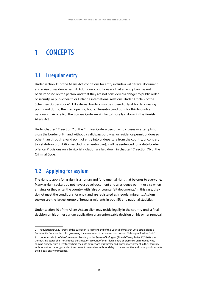## <span id="page-11-0"></span>**1 CONCEPTS**

### **1.1 Irregular entry**

Under section 11 of the Aliens Act, conditions for entry include a valid travel document and a visa or residence permit. Additional conditions are that an entry ban has not been imposed on the person, and that they are not considered a danger to public order or security, or public health or Finland's international relations. Under Article 5 of the Schengen Borders Code<sup>2</sup>, EU external borders may be crossed only at border crossing points and during the fixed opening hours. The entry conditions for third-country nationals in Article 6 of the Borders Code are similar to those laid down in the Finnish Aliens Act.

Under chapter 17, section 7 of the Criminal Code, a person who crosses or attempts to cross the border of Finland without a valid passport, visa, or residence permit or does so other than through a valid point of entry into or departure from the country, or contrary to a statutory prohibition (excluding an entry ban), shall be sentenced for a state border offence. Provisions on a territorial violation are laid down in chapter 17, section 7b of the Criminal Code.

### **1.2 Applying for asylum**

The right to apply for asylum is a human and fundamental right that belongs to everyone. Many asylum seekers do not have a travel document and a residence permit or visa when arriving, or they enter the country with false or counterfeit documents.<sup>3</sup> In this case, they do not meet the conditions for entry and are registered as irregular migrants. Asylum seekers are the largest group of irregular migrants in both EU and national statistics.

Under section 40 of the Aliens Act, an alien may reside legally in the country until a final decision on his or her asylum application or an enforceable decision on his or her removal

<sup>2</sup> Regulation (EU) 2016/399 of the European Parliament and of the Council of 9 March 2016 establishing a Community Code on the rules governing the movement of persons across borders (Schengen Borders Code).

<sup>3</sup> Under Article 31 of the Convention Relating to the Status of Refugees (Finnish Treaty Series 77/1968), the Contracting States shall not impose penalties, on account of their illegal entry or presence, on refugees who, coming directly from a territory where their life or freedom was threatened, enter or are present in their territory without authorization, provided they present themselves without delay to the authorities and show good cause for their illegal entry or presence.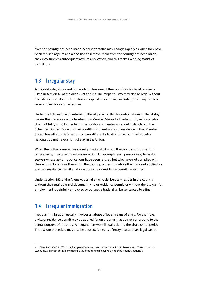<span id="page-12-0"></span>from the country has been made. A person's status may change rapidly as, once they have been refused asylum and a decision to remove them from the country has been made, they may submit a subsequent asylum application, and this makes keeping statistics a challenge.

### **1.3 Irregular stay**

A migrant's stay in Finland is irregular unless one of the conditions for legal residence listed in section 40 of the Aliens Act applies. The migrant's stay may also be legal without a residence permit in certain situations specified in the Act, including when asylum has been applied for as noted above.

Under the EU directive on returning<sup>4</sup> illegally staying third-country nationals, 'illegal stay' means the presence on the territory of a Member State of a third-country national who does not fulfil, or no longer fulfils the conditions of entry as set out in Article 5 of the Schengen Borders Code or other conditions for entry, stay or residence in that Member State. The definition is broad and covers different situations in which third country nationals do not have a right of stay in the Union.

When the police come across a foreign national who is in the country without a right of residence, they take the necessary action. For example, such persons may be asylum seekers whose asylum applications have been refused but who have not complied with the decision to remove them from the country, or persons who either have not applied for a visa or residence permit at all or whose visa or residence permit has expired.

Under section 185 of the Aliens Act, an alien who deliberately resides in the country without the required travel document, visa or residence permit, or without right to gainful employment is gainfully employed or pursues a trade, shall be sentenced to a fine.

### **1.4 Irregular immigration**

Irregular immigration usually involves an abuse of legal means of entry. For example, a visa or residence permit may be applied for on grounds that do not correspond to the actual purpose of the entry. A migrant may work illegally during the visa exempt period. The asylum procedure may also be abused. A means of entry that appears legal can be

<sup>4</sup> Directive 2008/115/EC of the European Parliament and of the Council of 16 December 2008 on common standards and procedures in Member States for returning illegally staying third-country nationals.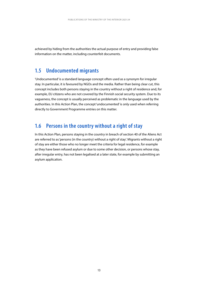<span id="page-13-0"></span>achieved by hiding from the authorities the actual purpose of entry and providing false information on the matter, including counterfeit documents.

### **1.5 Undocumented migrants**

'Undocumented' is a standard language concept often used as a synonym for irregular stay. In particular, it is favoured by NGOs and the media. Rather than being clear cut, this concept includes both persons staying in the country without a right of residence and, for example, EU citizens who are not covered by the Finnish social security system. Due to its vagueness, the concept is usually perceived as problematic in the language used by the authorities. In this Action Plan, the concept 'undocumented' is only used when referring directly to Government Programme entries on this matter.

### **1.6 Persons in the country without a right of stay**

In this Action Plan, persons staying in the country in breach of section 40 of the Aliens Act are referred to as 'persons (in the country) without a right of stay'. Migrants without a right of stay are either those who no longer meet the criteria for legal residence, for example as they have been refused asylum or due to some other decision, or persons whose stay, after irregular entry, has not been legalised at a later state, for example by submitting an asylum application.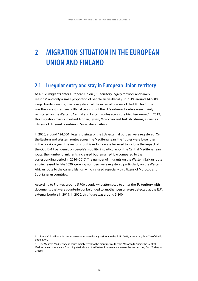## <span id="page-14-0"></span>**2 MIGRATION SITUATION IN THE EUROPEAN UNION AND FINLAND**

### **2.1 Irregular entry and stay in European Union territory**

As a rule, migrants enter European Union (EU) territory legally for work and family reasons<sup>5</sup>, and only a small proportion of people arrive illegally. In 2019, around 142,000 illegal border crossings were registered at the external borders of the EU. This figure was the lowest in six years. Illegal crossings of the EU's external borders were mainly registered on the Western, Central and Eastern routes across the Mediterranean.<sup>6</sup> In 2019, this migration mainly involved Afghan, Syrian, Moroccan and Turkish citizens, as well as citizens of different countries in Sub-Saharan Africa.

In 2020, around 124,000 illegal crossings of the EU's external borders were registered. On the Eastern and Western routes across the Mediterranean, the figures were lower than in the previous year. The reasons for this reduction are believed to include the impact of the COVID-19 pandemic on people's mobility, in particular. On the Central Mediterranean route, the number of migrants increased but remained low compared to the corresponding period in 2016–2017. The number of migrants on the Western Balkan route also increased. In late 2020, growing numbers were registered particularly on the Western African route to the Canary Islands, which is used especially by citizens of Morocco and Sub-Saharan countries.

According to Frontex, around 5,700 people who attempted to enter the EU territory with documents that were counterfeit or belonged to another person were detected at the EU's external borders in 2019. In 2020, this figure was around 3,800.

<sup>5</sup> Some 20.9 million third country nationals were legally resident in the EU in 2019, accounting for 4.7% of the EU population.

<sup>6</sup> The Western Mediterranean route mainly refers to the maritime route from Morocco to Spain; the Central Mediterranean route leads from Libya to Italy; and the Eastern Route mainly means the sea crossing from Turkey to Greece.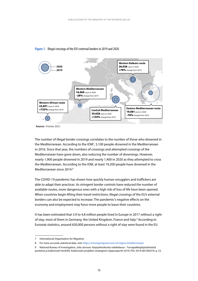

#### **Figure 1.** Illegal crossings of the EU's external borders in 2019 and 2020

**Source:** Frontex 2021.

The number of illegal border crossings correlates to the number of those who drowned in the Mediterranean. According to the IOM7 , 5,100 people drowned in the Mediterranean in 2016. Since that year, the numbers of crossings and attempted crossings of the Mediterranean have gone down, also reducing the number of drownings. However, nearly 1,900 people drowned in 2019 and nearly 1,400 in 2020 as they attempted to cross the Mediterranean. According to the IOM, at least 19,200 people have drowned in the Mediterranean since 2014.<sup>8</sup>

The COVID-19 pandemic has shown how quickly human smugglers and traffickers are able to adapt their practices. As stringent border controls have reduced the number of available routes, more dangerous ones with a high risk of loss of life have been opened. When countries begin lifting their travel restrictions, illegal crossings of the EU's external borders can also be expected to increase. The pandemic's negative effects on the economy and employment may force more people to leave their countries.

It has been estimated that 3.9 to 4.8 million people lived in Europe in 2017 without a right of stay, most of them in Germany, the United Kingdom, France and Italy.<sup>9</sup> According to Eurostat statistics, around 630,000 persons without a right of stay were found in the EU

9 National Bureau of Investigation, Julia Jansson: Varjoyhteiskunta valokeilassa – Turvapaikkajärjestelmästä poistetut ja kadonneet henkilöt. Kadonneet-projektin strateginen loppuraportti 2019, POL-2019-681382019, p. 23.

<sup>7</sup> International Organization for Migration

<sup>8</sup> For more accurate statistical data, visit: <https://missingmigrants.iom.int/region/mediterranean>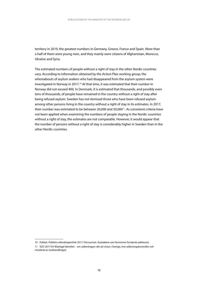territory in 2019, the greatest numbers in Germany, Greece, France and Spain. More than a half of them were young men, and they mainly were citizens of Afghanistan, Morocco, Ukraine and Syria.

The estimated numbers of people without a right of stay in the other Nordic countries vary. According to information obtained by the Action Plan working group, the whereabouts of asylum seekers who had disappeared from the asylum system were investigated in Norway in 2017.<sup>10</sup> At that time, it was estimated that their number in Norway did not exceed 400. In Denmark, it is estimated that thousands, and possibly even tens of thousands, of people have remained in the country without a right of stay after being refused asylum. Sweden has not itemised those who have been refused asylum among other persons living in the country without a right of stay in its estimates. In 2017, their number was estimated to be between 20,000 and 50,000<sup>11</sup>. As consistent criteria have not been applied when examining the numbers of people staying in the Nordic countries without a right of stay, the estimates are not comparable. However, it would appear that the number of persons without a right of stay is considerably higher in Sweden than in the other Nordic countries.

<sup>10</sup> Politiet. Politiets utlendingsenhet 2017: Försvunnet. Asylsøkere som forsvinner fra kjente addresser.

<sup>11</sup> SOU 2017:93 (Klarlagd identitet – om utlänningars rätt att vistas i Sverige, inre utlänningskontroller och missbruk av resehandlingar).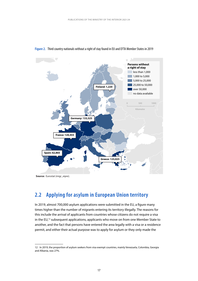

#### <span id="page-17-0"></span>**Figure 2.** Third country nationals without a right of stay found in EU and EFTA Member States in 2019

**Source:** Eurostat (migr\_eipre).

### **2.2 Applying for asylum in European Union territory**

In 2019, almost 700,000 asylum applications were submitted in the EU, a figure many times higher than the number of migrants entering its territory illegally. The reasons for this include the arrival of applicants from countries whose citizens do not require a visa in the EU,<sup>12</sup> subsequent applications, applicants who move on from one Member State to another, and the fact that persons have entered the area legally with a visa or a residence permit, and either their actual purpose was to apply for asylum or they only made the

<sup>12</sup> In 2019, the proportion of asylum seekers from visa exempt countries, mainly Venezuela, Colombia, Georgia and Albania, was 27%.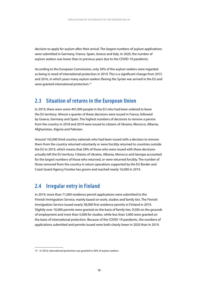<span id="page-18-0"></span>decision to apply for asylum after their arrival. The largest numbers of asylum applications were submitted in Germany, France, Spain, Greece and Italy. In 2020, the number of asylum seekers was lower than in previous years due to the COVID-19 pandemic.

According to the European Commission, only 30% of the asylum seekers were regarded as being in need of international protection in 2019. This is a significant change from 2015 and 2016, in which years many asylum seekers fleeing the Syrian war arrived in the EU and were granted international protection.13

### **2.3 Situation of returns in the European Union**

In 2019, there were some 491,000 people in the EU who had been ordered to leave the EU territory. Almost a quarter of these decisions were issued in France, followed by Greece, Germany and Spain. The highest numbers of decisions to remove a person from the country in 2018 and 2019 were issued to citizens of Ukraine, Morocco, Albania, Afghanistan, Algeria and Pakistan.

Around 142,000 third country nationals who had been issued with a decision to remove them from the country returned voluntarily or were forcibly returned to countries outside the EU in 2019, which means that 29% of those who were issued with these decisions actually left the EU territory. Citizens of Ukraine, Albania, Morocco and Georgia accounted for the largest numbers of those who returned, or were returned forcibly. The number of those removed from the country in return operations supported by the EU Border and Coast Guard Agency Frontex has grown and reached nearly 16,000 in 2019.

### **2.4 Irregular entry in Finland**

In 2019, more than 71,000 residence permit applications were submitted to the Finnish Immigration Service, mainly based on work, studies and family ties. The Finnish Immigration Service issued nearly 38,000 first residence permits in Finland in 2019. Slightly over 10,000 permits were granted on the basis of family ties, 9,500 on the grounds of employment and more than 5,000 for studies, while less than 3,000 were granted on the basis of international protection. Because of the COVID-19 pandemic, the numbers of applications submitted and permits issued were both clearly lower in 2020 than in 2019.

<sup>13</sup> In 2016, international protection was granted to 56% of asylum seekers.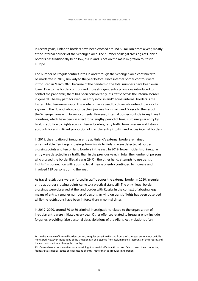In recent years, Finland's borders have been crossed around 60 million times a year, mostly at the internal borders of the Schengen area. The number of illegal crossings of Finnish borders has traditionally been low, as Finland is not on the main migration routes to Europe.

The number of irregular entries into Finland through the Schengen area continued to be moderate in 2019, similarly to the year before. Once internal border controls were introduced in March 2020 because of the pandemic, the total numbers have been even lower. Due to the border controls and more stringent entry provisions introduced to control the pandemic, there has been considerably less traffic across the internal border in general. The key path for irregular entry into Finland<sup>14</sup> across internal borders is the Eastern Mediterranean route. This route is mainly used by those who intend to apply for asylum in the EU and who continue their journey from mainland Greece to the rest of the Schengen area with false documents. However, internal border controls in key transit countries, which have been in effect for a lengthy period of time, curb irregular entry by land. In addition to flights across internal borders, ferry traffic from Sweden and Estonia accounts for a significant proportion of irregular entry into Finland across internal borders.

In 2019, the situation of irregular entry at Finland's external borders remained unremarkable. Ten illegal crossings from Russia to Finland were detected at border crossing points and ten on land borders in the east. In 2019, fewer incidents of irregular entry were detected in air traffic than in the previous year. In total, the number of persons who crossed the border illegally was 29. On the other hand, attempts to use transit flights<sup>15</sup> in connection with abusing legal means of entry continued to increase and involved 129 persons during the year.

As travel restrictions were enforced in traffic across the external border in 2020, irregular entry at border crossing points came to a practical standstill. The only illegal border crossings were observed at the land border with Russia. In the context of abusing legal means of entry, a smaller number of persons arriving on transit flights has been observed while the restrictions have been in force than in normal times.

In 2019–2020, around 70 to 80 criminal investigations related to the organisation of irregular entry were initiated every year. Other offences related to irregular entry include forgeries, providing false personal data, violations of the Aliens' Act, violations of an

<sup>14</sup> In the absence of internal border controls, irregular entry into Finland from the Schengen area cannot be fully monitored. However, indications of the situation can be obtained from asylum seekers' accounts of their routes and the methods used for entering the country.

<sup>15</sup> Cases where a person arrives on a transit flight to Helsinki-Vantaa Airport and fails to board their connecting flight are classified as 'abuse of legal means of entry ' rather than as irregular immigration.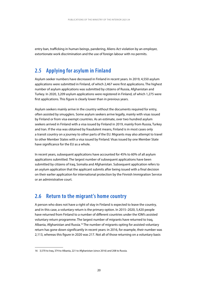<span id="page-20-0"></span>entry ban, trafficking in human beings, pandering, Aliens Act violation by an employer, extortionate work discrimination and the use of foreign labour with no permits.

### **2.5 Applying for asylum in Finland**

Asylum seeker numbers have decreased in Finland in recent years. In 2019, 4,550 asylum applications were submitted in Finland, of which 2,467 were first applications. The highest number of asylum applications was submitted by citizens of Russia, Afghanistan and Turkey. In 2020, 3,209 asylum applications were registered in Finland, of which 1,275 were first applications. This figure is clearly lower than in previous years.

Asylum seekers mainly arrive in the country without the documents required for entry, often assisted by smugglers. Some asylum seekers arrive legally, mainly with visas issued by Finland or from visa exempt countries. As an estimate, over two hundred asylum seekers arrived in Finland with a visa issued by Finland in 2019, mainly from Russia, Turkey and Iran. If the visa was obtained by fraudulent means, Finland is in most cases only a transit country on a journey to other parts of the EU. Migrants may also attempt to travel to other Member States with a visa issued by Finland. Visas issued by one Member State have significance for the EU as a whole.

In recent years, subsequent applications have accounted for 45% to 60% of all asylum applications submitted. The largest number of subsequent applications have been submitted by citizens of Iraq, Somalia and Afghanistan. Subsequent application refers to an asylum application that the applicant submits after being issued with a final decision on their earlier application for international protection by the Finnish Immigration Service or an administrative court.

### **2.6 Return to the migrant's home country**

A person who does not have a right of stay in Finland is expected to leave the country, and in this case, a voluntary return is the primary option. In 2015–2020, 5,420 people have returned from Finland to a number of different countries under the IOM's assisted voluntary return programme. The largest number of migrants have returned to Iraq, Albania, Afghanistan and Russia.<sup>16</sup> The number of migrants opting for assisted voluntary return has gone down significantly in recent years: in 2016, for example, their number was 2,113, whereas this figure in 2020 was 217. Not all of those returning on a voluntary basis

<sup>16</sup> 3,570 to Iraq, 374 to Albania, 221 to Afghanistan (since 2016) and 208 to Russia.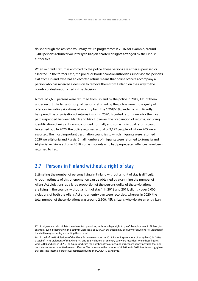<span id="page-21-0"></span>do so through the assisted voluntary return programme: in 2016, for example, around 1,400 persons returned voluntarily to Iraq on chartered flights arranged by the Finnish authorities.

When migrants' return is enforced by the police, these persons are either supervised or escorted. In the former case, the police or border control authorities supervise the person's exit from Finland, whereas an escorted return means that police officers accompany a person who has received a decision to remove them from Finland on their way to the country of destination cited in the decision.

A total of 2,656 persons were returned from Finland by the police in 2019, 421 of them under escort. The largest group of persons returned by the police were those guilty of offences, including violations of an entry ban. The COVID-19 pandemic significantly hampered the organisation of returns in spring 2020. Escorted returns were for the most part suspended between March and May. However, the preparation of returns, including identification of migrants, was continued normally and some individual returns could be carried out. In 2020, the police returned a total of 2,127 people, of whom 205 were escorted. The most important destination countries to which migrants were returned in 2020 were Estonia and Russia. Small numbers of migrants were returned to Somalia and Afghanistan. Since autumn 2018, some migrants who had perpetrated offences have been returned to Iraq.

### **2.7 Persons in Finland without a right of stay**

Estimating the number of persons living in Finland without a right of stay is difficult. A rough estimate of this phenomenon can be obtained by examining the number of Aliens Act violations, as a large proportion of the persons guilty of these violations are living in the country without a right of stay.<sup>17</sup> In 2018 and 2019, slightly over 2,000 violations of both the Aliens Act and an entry ban were recorded, whereas in 2020, the total number of these violations was around 2,500.<sup>18</sup> EU citizens who violate an entry ban

<sup>17</sup> A migrant can also violate the Aliens Act by working without a legal right to gainful employment in Finland, for example, even if their stay in this country were legal as such. An EU citizen may be guilty of an Aliens Act violation if they fail to register a stay exceeding three months.

<sup>18</sup> A total of 2,049 violations of the Aliens Act were recorded in 2018 (including violations of entry bans). In 2019, a total of 1,495 violations of the Aliens Act and 558 violations of an entry ban were recorded, while these figures were 2,109 and 434 in 2020. The figures indicate the number of violations, and it is consequently possible that one person may have committed several offences. The increase in the number of violations in 2020 is noteworthy, given that crossing internal borders was restricted due to the COVID-19 pandemic.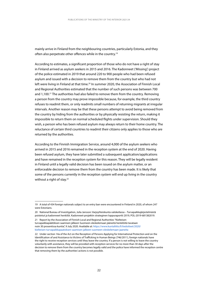mainly arrive in Finland from the neighbouring countries, particularly Estonia, and they often also perpetrate other offences while in the country.<sup>19</sup>

According to estimates, a significant proportion of those who do not have a right of stay in Finland arrived as asylum seekers in 2015 and 2016. The Kadonneet ('Missing') project of the police estimated in 2019 that around 220 to 900 people who had been refused asylum and issued with a decision to remove them from the country but who had not left were living in Finland at that time.<sup>20</sup> In summer 2020, the Association of Finnish Local and Regional Authorities estimated that the number of such persons was between 700 and 1,100.21 The authorities had also failed to remove them from the country. Removing a person from the country may prove impossible because, for example, the third country refuses to readmit them, or only readmits small numbers of returning migrants at irregular intervals. Another reason may be that these persons attempt to avoid being removed from the country by hiding from the authorities or by physically resisting the return, making it impossible to return them on normal scheduled flights under supervision. Should they wish, a person who has been refused asylum may always return to their home country. The reluctance of certain third countries to readmit their citizens only applies to those who are returned by the authorities.

According to the Finnish Immigration Service, around 4,000 of the asylum seekers who arrived in 2015 and 2016 remained in the reception system at the end of 2020. Having been refused asylum, they have later submitted a subsequent application/applications and have remained in the reception system for this reason. They will be legally resident in Finland until a legally valid decision has been issued on the asylum matter, or an enforceable decision to remove them from the country has been made. It is likely that some of the persons currently in the reception system will end up living in the country without a right of stay.<sup>22</sup>

21 Report by the Association of Finnish Local and Regional Authorities "Kielteisen turvapaikkapäätöksen saamisen jälkeen Suomeen oleskelemaan jääneitä henkilöitä tavataan noin 30 prosentissa kuntia", 9 July 2020. Available at: https://www.kuntaliitto.fi/[tiedotteet/2020/](https://www.kuntaliitto.fi/tiedotteet/2020/kielteisen-turvapaikkapaatoksen-saamisen-jalkeen-suomeen-oleskelemaan-jaaneita) [kielteisen-turvapaikkapaatoksen-saamisen-jalkeen-suomeen-oleskelemaan-jaaneita](https://www.kuntaliitto.fi/tiedotteet/2020/kielteisen-turvapaikkapaatoksen-saamisen-jalkeen-suomeen-oleskelemaan-jaaneita)

<sup>19</sup> A total of 434 foreign nationals subject to an entry ban were encountered in Finland in 2020, of whom 247 were Estonians.

<sup>20</sup> National Bureau of Investigation, Julia Jansson: Varjoyhteiskunta valokeilassa – Turvapaikkajärjestelmästä poistetut ja kadonneet henkilöt. Kadonneet-projektin strateginen loppuraportti 2019, POL-2019-681382019.

<sup>22</sup> Under section 14a of the Act on the Reception of Persons Applying for International Protection and on the Identification of and Assistance to Victims of Trafficking in Human Beings (746/2011), foreign nationals have the right to receive reception services until they leave the country. If a person is not willing to leave the country voluntarily with assistance, they will be provided with reception services for no more than 30 days after the decision to remove them from the country becomes legally valid and the police have informed the reception centre that removing them by the authorities' actions is not possible.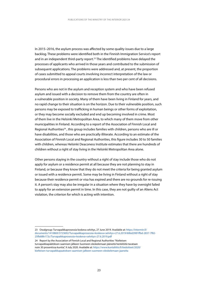In 2015–2016, the asylum process was affected by some quality issues due to a large backlog. These problems were identified both in the Finnish Immigration Service's report and in an independent third-party report.<sup>23</sup> The identified problems have delayed the processes of applicants who arrived in those years and contributed to the submission of subsequent applications. The problems were addressed and, at present, the proportion of cases submitted to appeal courts involving incorrect interpretation of the law or procedural errors in processing an application is less than two per cent of all decisions.

Persons who are not in the asylum and reception system and who have been refused asylum and issued with a decision to remove them from the country are often in a vulnerable position in society. Many of them have been living in Finland for years, and no rapid change to their situation is on the horizon. Due to their vulnerable position, such persons may be exposed to trafficking in human beings or other forms of exploitation, or they may become socially excluded and end up becoming involved in crime. Most of them live in the Helsinki Metropolitan Area, to which many of them move from other municipalities in Finland. According to a report of the Association of Finnish Local and Regional Authorities<sup>24</sup>, this group includes families with children, persons who are ill or have disabilities, and those who are practically illiterate. According to an estimate of the Association of Finnish Local and Regional Authorities, this figure includes 30 to 50 families with children, whereas Helsinki Deaconess Institute estimates that there are hundreds of children without a right of stay living in the Helsinki Metropolitan Area alone.

Other persons staying in the country without a right of stay include those who do not apply for asylum or a residence permit at all because they are not planning to stay in Finland, or because they know that they do not meet the criteria for being granted asylum or issued with a residence permit. Some may be living in Finland without a right of stay because their residence permit or visa has expired and there are no grounds for re-issuing it. A person's stay may also be irregular in a situation where they have by oversight failed to apply for an extension permit in time. In this case, they are not guilty of an Aliens Act violation, the criterion for which is acting with intention.

<sup>23</sup> Owalgroup: Turvapaikkaprosessia koskeva selvitys, 27 June 2019. Available at: [https://intermin.fi/](https://intermin.fi/documents/1410869/3723692/Turvapaikkaprosessia+koskeva+selvitys+27.6.2019/60bd290f-ffbd-2837-7f82-25fb68fe172c/Turvapaikkaprosessia+koskeva+selvitys+27.6.2019.pdf) [documents/1410869/3723692/Turvapaikkaprosessia+koskeva+selvitys+27.6.2019/60bd290f-ffbd-2837-7f82-](https://intermin.fi/documents/1410869/3723692/Turvapaikkaprosessia+koskeva+selvitys+27.6.2019/60bd290f-ffbd-2837-7f82-25fb68fe172c/Turvapaikkaprosessia+koskeva+selvitys+27.6.2019.pdf) [25fb68fe172c/Turvapaikkaprosessia+koskeva+selvitys+27.6.2019.pdf](https://intermin.fi/documents/1410869/3723692/Turvapaikkaprosessia+koskeva+selvitys+27.6.2019/60bd290f-ffbd-2837-7f82-25fb68fe172c/Turvapaikkaprosessia+koskeva+selvitys+27.6.2019.pdf)

<sup>24</sup> Report by the Association of Finnish Local and Regional Authorities "Kielteisen turvapaikkapäätöksen saamisen jälkeen Suomeen oleskelemaan jääneitä henkilöitä tavataan noin 30 prosentissa kuntia", 9 July 2020. Available at: [https://www.kuntaliitto.fi/tiedotteet/2020/](https://www.kuntaliitto.fi/tiedotteet/2020/kielteisen-turvapaikkapaatoksen-saamisen-jalkeen-suomeen-oleskelemaan-jaaneita) [kielteisen-turvapaikkapaatoksen-saamisen-jalkeen-suomeen-oleskelemaan-jaaneita](https://www.kuntaliitto.fi/tiedotteet/2020/kielteisen-turvapaikkapaatoksen-saamisen-jalkeen-suomeen-oleskelemaan-jaaneita)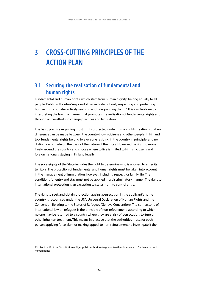## <span id="page-24-0"></span>**3 CROSS-CUTTING PRINCIPLES OF THE ACTION PLAN**

### **3.1 Securing the realisation of fundamental and human rights**

Fundamental and human rights, which stem from human dignity, belong equally to all people. Public authorities' responsibilities include not only respecting and protecting human rights but also actively realising and safeguarding them.25 This can be done by interpreting the law in a manner that promotes the realisation of fundamental rights and through active efforts to change practices and legislation.

The basic premise regarding most rights protected under human rights treaties is that no difference can be made between the country's own citizens and other people. In Finland, too, fundamental rights belong to everyone residing in the country in principle, and no distinction is made on the basis of the nature of their stay. However, the right to move freely around the country and choose where to live is limited to Finnish citizens and foreign nationals staying in Finland legally.

The sovereignty of the State includes the right to determine who is allowed to enter its territory. The protection of fundamental and human rights must be taken into account in the management of immigration, however, including respect for family life. The conditions for entry and stay must not be applied in a discriminatory manner. The right to international protection is an exception to states' right to control entry.

The right to seek and obtain protection against persecution in the applicant's home country is recognised under the UN's Universal Declaration of Human Rights and the Convention Relating to the Status of Refugees (Geneva Convention). The cornerstone of international law on refugees is the principle of non-refoulement, according to which no one may be returned to a country where they are at risk of persecution, torture or other inhuman treatment. This means in practice that the authorities must, for each person applying for asylum or making appeal to non-refoulement, to investigate if the

<sup>25</sup> Section 22 of the Constitution obliges public authorities to guarantee the observance of fundamental and human rights.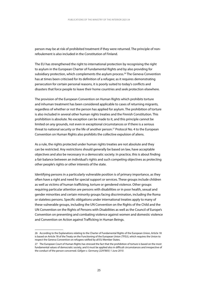person may be at risk of prohibited treatment if they were returned. The principle of nonrefoulement is also included in the Constitution of Finland.

The EU has strengthened the right to international protection by recognising the right to asylum in the European Charter of Fundamental Rights and by also providing for subsidiary protection, which complements the asylum process.<sup>26</sup> The Geneva Convention has at times been criticised for its definition of a refugee; as it requires demonstrating persecution for certain personal reasons, it is poorly suited to today's conflicts and disasters that force people to leave their home countries and seek protection elsewhere.

The provision of the European Convention on Human Rights which prohibits torture and inhuman treatment has been considered applicable to cases of returning migrants, regardless of whether or not the person has applied for asylum. The prohibition of torture is also included in several other human rights treaties and the Finnish Constitution. This prohibition is absolute. No exception can be made to it, and this principle cannot be limited on any grounds, not even in exceptional circumstances or if there is a serious threat to national security or the life of another person.<sup>27</sup> Protocol No. 4 to the European Convention on Human Rights also prohibits the collective expulsion of aliens.

As a rule, the rights protected under human rights treaties are not absolute and they can be restricted. Any restrictions should generally be based on law, have acceptable objectives and also be necessary in a democratic society. In practice, this is about finding a fair balance between an individual's rights and such competing objectives as protecting other people's rights or other interests of the state.

Identifying persons in a particularly vulnerable position is of primary importance, as they often have a right and need for special support or services. These groups include children as well as victims of human trafficking, torture or gendered violence. Other groups requiring particular attention are persons with disabilities or in poor health, sexual and gender minorities and certain minority groups facing discrimination, including the Roma or stateless persons. Specific obligations under international treaties apply to many of these vulnerable groups, including the UN Convention on the Rights of the Child and the UN Convention on the Rights of Persons with Disabilities as well as the Council of Europe's Convention on preventing and combating violence against women and domestic violence and Convention on Action against Trafficking in Human Beings.

<sup>26</sup> According to the Explanations relating to the Charter of Fundamental Rights of the European Union, Article 18 is based on Article 78 of the Treaty on the Functioning of the European Union (TFEU), which requires the Union to respect the Geneva Convention on refugees ratified by all EU Member States.

<sup>27</sup> The European Court of Human Rights has stressed the fact that the prohibition of torture is based on the most fundamental values of democratic society, and it must be applied also in difficult circumstances and irrespective of the conduct of the person concerned. *Gäfgen v. Germany (2297805) 1 June 2010*.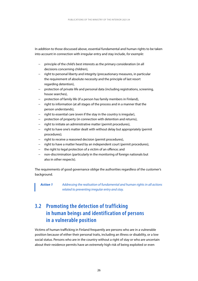<span id="page-26-0"></span>In addition to those discussed above, essential fundamental and human rights to be taken into account in connection with irregular entry and stay include, *for example*:

- − principle of the child's best interests as the primary consideration (in all decisions concerning children),
- − right to personal liberty and integrity (precautionary measures, in particular the requirement of absolute necessity and the principle of last resort regarding detention),
- − protection of private life and personal data (including registrations, screening, house searches),
- − protection of family life (if a person has family members in Finland),
- − right to information (at all stages of the process and in a manner that the person understands),
- − right to essential care (even if the stay in the country is irregular),
- − protection of property (in connection with detention and returns),
- − right to initiate an administrative matter (permit procedures),
- − right to have one's matter dealt with without delay but appropriately (permit procedures);
- − right to receive a reasoned decision (permit procedures),
- − right to have a matter heard by an independent court (permit procedures),
- − the right to legal protection of a victim of an offence; and
- non-discrimination (particularly in the monitoring of foreign nationals but also in other respects).

The requirements of good governance oblige the authorities regardless of the customer's background.

*Action 1 Addressing the realisation of fundamental and human rights in all actions related to preventing irregular entry and stay.*

### **3.2 Promoting the detection of trafficking in human beings and identification of persons in a vulnerable position**

Victims of human trafficking in Finland frequently are persons who are in a vulnerable position because of either their personal traits, including an illness or disability, or a low social status. Persons who are in the country without a right of stay or who are uncertain about their residence permits have an extremely high risk of being exploited or even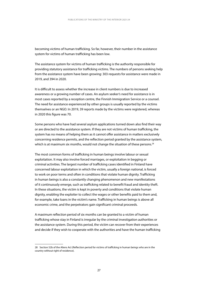becoming victims of human trafficking. So far, however, their number in the assistance system for victims of human trafficking has been low.

The assistance system for victims of human trafficking is the authority responsible for providing statutory assistance for trafficking victims. The numbers of persons seeking help from the assistance system have been growing: 303 requests for assistance were made in 2019, and 394 in 2020.

It is difficult to assess whether the increase in client numbers is due to increased awareness or a growing number of cases. An asylum seeker's need for assistance is in most cases reported by a reception centre, the Finnish Immigration Service or a counsel. The need for assistance experienced by other groups is usually reported by the victims themselves or an NGO. In 2019, 39 reports made by the victims were registered, whereas in 2020 this figure was 70.

Some persons who have had several asylum applications turned down also find their way or are directed to the assistance system. If they are not victims of human trafficking, the system has no means of helping them as it cannot offer assistance in matters exclusively concerning residence permits, and the reflection period granted by the assistance system, which is at maximum six months, would not change the situation of these persons.<sup>28</sup>

The most common forms of trafficking in human beings involve labour or sexual exploitation. It may also involve forced marriages, or exploitation in begging or criminal activities. The largest number of trafficking cases identified in Finland have concerned labour exploitation in which the victim, usually a foreign national, is forced to work on poor terms and often in conditions that violate human dignity. Trafficking in human beings is also a constantly changing phenomenon and new manifestations of it continuously emerge, such as trafficking related to benefit fraud and identity theft. In these situations, the victim is kept in poverty and conditions that violate human dignity, enabling the exploiter to collect the wages or other benefits paid to them and, for example, take loans in the victim's name. Trafficking in human beings is above all economic crime, and the perpetrators gain significant criminal proceeds.

A maximum reflection period of six months can be granted to a victim of human trafficking whose stay in Finland is irregular by the criminal investigation authorities or the assistance system. During this period, the victim can recover from their experiences and decide if they wish to cooperate with the authorities and have the human trafficking

<sup>28</sup> Section 52b of the Aliens Act (Reflection period for victims of trafficking in human beings who are in the country without right of residence).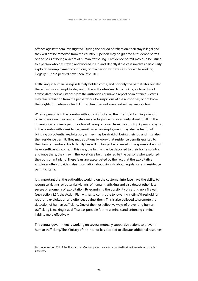offence against them investigated. During the period of reflection, their stay is legal and they will not be removed from the country. A person may be granted a residence permit on the basis of being a victim of human trafficking. A residence permit may also be issued to a person who has stayed and worked in Finland illegally if the case involves particularly exploitative employment conditions, or to a person who was a minor while working illegally.29 These permits have seen little use.

Trafficking in human beings is largely hidden crime, and not only the perpetrator but also the victim may attempt to stay out of the authorities' reach. Trafficking victims do not always dare seek assistance from the authorities or make a report of an offence. Victims may fear retaliation from the perpetrators, be suspicious of the authorities, or not know their rights. Sometimes a trafficking victim does not even realise they are a victim.

When a person is in the country without a right of stay, the threshold for filing a report of an offence on their own initiative may be high due to uncertainty about fulfilling the criteria for a residence permit or fear of being removed from the country. A person staying in the country with a residence permit based on employment may also be fearful of bringing up potential exploitation, as they may be afraid of losing their job and thus also their residence permit. They may additionally worry that residence permits granted to their family members due to family ties will no longer be renewed if the sponsor does not have a sufficient income. In this case, the family may be deported to their home country, and once there, they may in the worst case be threatened by the persons who exploited the sponsor in Finland. These fears are exacerbated by the fact that the exploitative employer often provides false information about Finnish labour legislation and residence permit criteria.

It is important that the authorities working on the customer interface have the ability to recognise victims, or potential victims, of human trafficking and also detect other, less severe phenomena of exploitation. By examining the possibility of setting up a firewall (see section 8.5.), the Action Plan wishes to contribute to lowering victims' threshold for reporting exploitation and offences against them. This is also believed to promote the detection of human trafficking. One of the most effective ways of preventing human trafficking is making it as difficult as possible for the criminals and enforcing criminal liability more effectively.

The central government is working on several mutually supportive actions to prevent human trafficking. The Ministry of the Interior has decided to allocate additional resources

<sup>29</sup> Under section 52d of the Aliens Act, a reflection period can also be granted in situations referred to in this provision.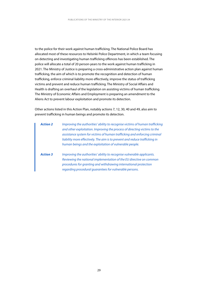to the police for their work against human trafficking. The National Police Board has allocated most of these resources to Helsinki Police Department, in which a team focusing on detecting and investigating human trafficking offences has been established. The police will allocate a total of 20 person-years to the work against human trafficking in 2021. The Ministry of Justice is preparing a cross-administrative action plan against human trafficking, the aim of which is to promote the recognition and detection of human trafficking, enforce criminal liability more effectively, improve the status of trafficking victims and prevent and reduce human trafficking. The Ministry of Social Affairs and Health is drafting an overhaul of the legislation on assisting victims of human trafficking. The Ministry of Economic Affairs and Employment is preparing an amendment to the Aliens Act to prevent labour exploitation and promote its detection.

Other actions listed in this Action Plan, notably actions 7, 12, 30, 40 and 49, also aim to prevent trafficking in human beings and promote its detection.

| <b>Action 2</b> | Improving the authorities' ability to recognise victims of human trafficking<br>and other exploitation. Improving the process of directing victims to the<br>assistance system for victims of human trafficking and enforcing criminal<br>liability more effectively. The aim is to prevent and reduce trafficking in<br>human beings and the exploitation of vulnerable people. |
|-----------------|----------------------------------------------------------------------------------------------------------------------------------------------------------------------------------------------------------------------------------------------------------------------------------------------------------------------------------------------------------------------------------|
| <b>Action 3</b> | Improving the authorities' ability to recognise vulnerable applicants.<br>Reviewing the national implementation of the EU directive on common<br>procedures for granting and withdrawing international protection<br>regarding procedural quarantees for vulnerable persons.                                                                                                     |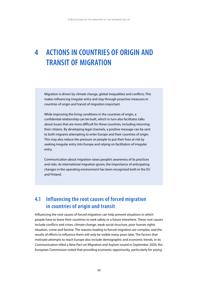## <span id="page-30-0"></span>**4 ACTIONS IN COUNTRIES OF ORIGIN AND TRANSIT OF MIGRATION**

Migration is driven by climate change, global inequalities and conflicts. This makes influencing irregular entry and stay through proactive measures in countries of origin and transit of migration important.

While improving the living conditions in the countries of origin, a confidential relationship can be built, which in turn also facilitates talks about issues that are more difficult for these countries, including returning their citizens. By developing legal channels, a positive message can be sent to both migrants attempting to enter Europe and their countries of origin. This may also reduce the pressure on people to put their lives at risk by seeking irregular entry into Europe and relying on facilitators of irregular entry.

Communication about migration raises people's awareness of its practices and risks. As international migration grows, the importance of anticipating changes in the operating environment has been recognised both in the EU and Finland.

### **4.1 Influencing the root causes of forced migration in countries of origin and transit**

Influencing the root causes of forced migration can help prevent situations in which people have to leave their countries to seek safety or a future elsewhere. These root causes include conflicts and crises, climate change, weak social structure, poor human rights situation, crime and famine. The reasons leading to forced migration are complex, and the results of efforts to influence them will only be visible many years later. The factors that motivate attempts to reach Europe also include demographic and economic trends. In its Communication titled a New Pact on Migration and Asylum issued in September 2020, the European Commission noted that providing economic opportunity, particularly for young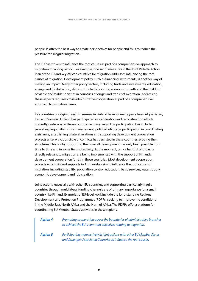people, is often the best way to create perspectives for people and thus to reduce the pressure for irregular migration.

The EU has striven to influence the root causes as part of a comprehensive approach to migration for a long period. For example, one set of measures in the Joint Valletta Action Plan of the EU and key African countries for migration addresses influencing the root causes of migration. Development policy, such as financing instruments, is another way of making an impact. Many other policy sectors, including trade and investments, education, energy and digitalisation, also contribute to boosting economic growth and the building of viable and stable societies in countries of origin and transit of migration. Addressing these aspects requires cross-administrative cooperation as part of a comprehensive approach to migration issues.

Key countries of origin of asylum seekers in Finland have for many years been Afghanistan, Iraq and Somalia. Finland has participated in stabilisation and reconstruction efforts currently underway in these countries in many ways. This participation has included peacekeeping, civilian crisis management, political advocacy, participation in coordinating assistance, establishing bilateral relations and supporting development cooperation projects alike. A vicious circle of conflicts has persisted in these countries, eroding their structures. This is why supporting their overall development has only been possible from time to time and in some fields of activity. At the moment, only a handful of projects directly relevant to migration are being implemented with the support of Finland's development cooperation funds in these countries. Most development cooperation projects which Finland supports in Afghanistan aim to influence the root causes of migration, including stability, population control, education, basic services, water supply, economic development and job creation.

Joint actions, especially with other EU countries, and supporting particularly fragile countries through multilateral funding channels are of primary importance for a small country like Finland. Examples of EU-level work include the long-standing Regional Development and Protection Programmes (RDPPs) seeking to improve the conditions in the Middle East, North Africa and the Horn of Africa. The RDPPs offer a platform for coordinating EU Member States' activities in these regions.

| <b>Action 4</b> | Promoting cooperation across the boundaries of administrative branches<br>to achieve the EU's common objectives relating to migration.      |
|-----------------|---------------------------------------------------------------------------------------------------------------------------------------------|
| <b>Action 5</b> | Participating more actively in joint actions with other EU Member States<br>and Schengen Associated Countries to influence the root causes. |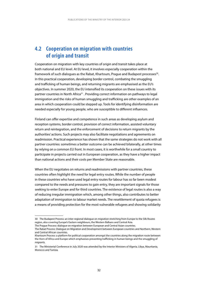### <span id="page-32-0"></span>**4.2 Cooperation on migration with countries of origin and transit**

Cooperation on migration with key countries of origin and transit takes place at both national and EU level. At EU level, it involves especially cooperation within the framework of such dialogues as the Rabat, Khartoum, Prague and Budapest processes<sup>30</sup>. In this practical cooperation, developing border control, combating the smuggling and trafficking of human beings, and returning migrants are emphasised as the EU's objectives. In summer 2020, the EU intensified its cooperation on these issues with its partner countries in North Africa<sup>31</sup>. Providing correct information on pathways to legal immigration and the risks of human smuggling and trafficking are other examples of an area in which cooperation could be stepped up. Tools for identifying disinformation are needed especially for young people, who are susceptible to different influences.

Finland can offer expertise and competence in such areas as developing asylum and reception systems, border control, provision of correct information, assisted voluntary return and reintegration, and the enforcement of decisions to return migrants by the authorities' actions. Such projects may also facilitate negotiations and agreements on readmission. Practical experience has shown that the same strategies do not work with all partner countries: sometimes a better outcome can be achieved bilaterally, at other times by relying on a common EU front. In most cases, it is worthwhile for a small country to participate in projects carried out in European cooperation, as they have a higher impact than national actions and their costs per Member State are reasonable.

When the EU negotiates on returns and readmissions with partner countries, these countries often highlight the need for legal entry routes. While the number of people in these countries who have used legal entry routes for labour has so far been modest compared to the needs and pressures to gain entry, they are important signals for those seeking to enter Europe and for third countries. The existence of legal routes is also a way of reducing irregular immigration which, among other things, also contributes to better adaptation of immigration to labour market needs. The resettlement of quota refugees is a means of providing protection for the most vulnerable refugees and showing solidarity

<sup>30</sup> The Budapest Process: an inter-regional dialogue on migration stretching from Europe to the Silk Routes region, also covering Europe's Eastern neighbours, the Western Balkans and Central Asia.

The Prague Process: dialogue on migration between European and Central Asian countries.

The Rabat Process: Dialogue on Migration and Development between European countries and Northern, Western and Central African countries.

Khartoum Process: a platform for political cooperation amongst the countries along the migration route between the Horn of Africa and Europe which emphasises preventing trafficking in human beings and the smuggling of migrants.

<sup>31</sup> The Ministerial Conference in July 2020 was attended by the Interior Ministers of Algeria, Libya, Mauritania, Morocco and Tunisia.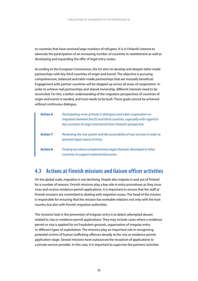<span id="page-33-0"></span>to countries that have received large numbers of refugees. It is in Finland's interest to advocate the participation of an increasing number of countries in resettlement as well as developing and expanding the offer of legal entry routes.

According to the European Commission, the EU aims to develop and deepen tailor-made partnerships with key third countries of origin and transit. The objective is pursuing comprehensive, balanced and tailor-made partnerships that are mutually beneficial. Engagement with partner countries will be stepped up across all areas of cooperation. In order to achieve real partnerships and shared ownership, different interests need to be reconciled. For this, a better understanding of the migration perspectives of countries of origin and transit is needed, and trust needs to be built. These goals cannot be achieved without continuous dialogue.

| <b>Action 6</b> | Participating more actively in dialogues and other cooperation on<br>migration between the EU and third countries, especially with regard to<br>key countries of origin and transit from Finland's perspective. |
|-----------------|-----------------------------------------------------------------------------------------------------------------------------------------------------------------------------------------------------------------|
| <b>Action 7</b> | Reviewing the visa system and the accessibility of visa services in order to<br>promote legal means of entry.                                                                                                   |
| <b>Action 8</b> | Finding out about complementary legal channels developed in other<br>countries to support national discussion.                                                                                                  |

### **4.3 Actions at Finnish missions and liaison officer activities**

On the global scale, migration is not declining. People also migrate in and out of Finland for a number of reasons. Finnish missions play a key role in entry procedures as they issue visas and receive residence permit applications. It is important to ensure that the staff at Finnish missions are committed to dealing with migration issues. The head of the mission is responsible for ensuring that the mission has workable relations not only with the host country but also with Finnish migration authorities.

The missions' task in the prevention of irregular entry is to detect attempted abuses related to visa or residence permit applications. They may include cases where a residence permit or visa is applied for on fraudulent grounds, organisation of irregular entry, or different types of exploitation. The missions play an important role in recognising potential victims of human trafficking offences already at the visa or residence permit application stage. Several missions have outsourced the reception of applications to a private service provider. In this case, it is important to supervise the partners' activities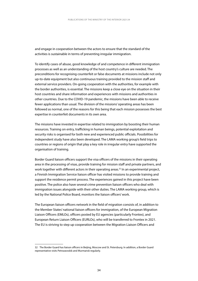and engage in cooperation between the actors to ensure that the standard of the activities is sustainable in terms of preventing irregular immigration.

To identify cases of abuse, good knowledge of and competence in different immigration processes as well as an understanding of the host country's culture are needed. The preconditions for recognising counterfeit or false documents at missions include not only up-to-date equipment but also continuous training provided to the mission staff and external service providers. On-going cooperation with the authorities, for example with the border authorities, is essential. The missions keep a close eye on the situation in their host countries and share information and experiences with missions and authorities in other countries. Due to the COVID-19 pandemic, the missions have been able to receive fewer applications than usual. The division of the missions' operating areas has been followed as normal, one of the reasons for this being that each mission possesses the best expertise in counterfeit documents in its own area.

The missions have invested in expertise related to immigration by boosting their human resources. Training on entry, trafficking in human beings, potential exploitation and security risks is organised for both new and experienced public officials. Possibilities for independent study have also been developed. The LAMA working group's field trips to countries or regions of origin that play a key role in irregular entry have supported the organisation of training.

Border Guard liaison officers support the visa officers of the missions in their operating area in the processing of visas, provide training for mission staff and private partners, and work together with different actors in their operating areas.<sup>32</sup> In an experimental project, a Finnish Immigration Service liaison officer has visited missions to provide training and support the residence permit process. The experiences gained in this project have been positive. The police also have several crime prevention liaison officers who deal with immigration issues alongside with their other duties. The LAMA working group, which is led by the National Police Board, monitors the liaison officers' work.

The European liaison officers network in the field of migration consists of, in addition to the Member States' national liaison officers for immigration, of the European Migration Liaison Officers (EMLOs), officers posted by EU agencies (particularly Frontex), and European Return Liaison Officers (EURLOs), who will be transferred to Frontex in 2021. The EU is striving to step up cooperation between the Migration Liaison Officers and

<sup>32</sup> The Border Guard has liaison officers in Beijing, Moscow and St. Petersburg. In addition, a Border Guard representative visits Petrozavodsk and Murmansk regularly.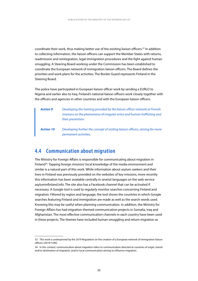<span id="page-35-0"></span>coordinate their work, thus making better use of the existing liaison officers.<sup>33</sup> In addition to collecting information, the liaison officers can support the Member States with returns, readmission and reintegration, legal immigration procedures and the fight against human smuggling. A Steering Board working under the Commission has been established to coordinate the European network of immigration liaison officers. The Board defines the priorities and work plans for the activities. The Border Guard represents Finland in the Steering Board.

The police have participated in European liaison officer work by sending a EURLO to Nigeria and earlier also to Iraq. Finland's national liaison officers work closely together with the officers and agencies in other countries and with the European liaison officers.

| <b>Action 9</b>  | Developing the training provided by the liaison officer network at Finnish<br>missions on the phenomena of irregular entry and human trafficking and<br>their prevention. |
|------------------|---------------------------------------------------------------------------------------------------------------------------------------------------------------------------|
| <b>Action 10</b> | Developing further the concept of visiting liaison officers, aiming for more<br>permanent activities.                                                                     |

### **4.4 Communication about migration**

The Ministry for Foreign Affairs is responsible for communicating about migration in Finland<sup>34</sup>. Tapping foreign missions' local knowledge of the media environment and similar is a natural part of this work. While information about asylum seekers and their lives in Finland was previously provided on the websites of key missions, more recently this information has been available centrally in several languages on the web service asyluminfinland.info. The site also has a Facebook channel that can be activated if necessary. A Google tool is used to regularly monitor searches concerning Finland and migration. Filtered by region and language, the tool shows the countries in which Google searches featuring Finland and immigration are made as well as the search words used. Knowing this may be useful when planning communication. In addition, the Ministry for Foreign Affairs has had migration-themed communication projects in Somalia, Iraq and Afghanistan. The most effective communication channels in each country have been used in these projects. The themes have included human smuggling and return migration as

<sup>33</sup> This work is underpinned by the 2019 Regulation on the creation of a European network of immigration liaison officers (2019/1240).

<sup>34</sup> In this context, communication about migration refers to communication directed at countries of origin, transit and/or destination of migration, and/or local communication aiming to influence migration.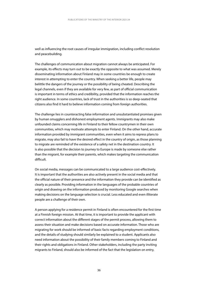well as influencing the root causes of irregular immigration, including conflict resolution and peacebuilding.

The challenges of communication about migration cannot always be anticipated. For example, its effects may turn out to be exactly the opposite to what was assumed. Merely disseminating information about Finland may in some countries be enough to create interest in attempting to enter the country. When seeking a better life, people may belittle the dangers of the journey or the possibility of being cheated. Describing the legal channels, even if they are available for very few, as part of official communication is important in terms of ethics and credibility, provided that the information reaches the right audience. In some countries, lack of trust in the authorities is so deep-seated that citizens also find it hard to believe information coming from foreign authorities.

The challenge lies in counteracting false information and unsubstantiated promises given by human smugglers and dishonest employment agents. Immigrants may also make unfounded claims concerning life in Finland to their fellow countrymen in their own communities, which may motivate attempts to enter Finland. On the other hand, accurate information provided by immigrant communities, even when it aims to repress plans to migrate, may also fail to have the desired effect in the country of origin, as those planning to migrate are reminded of the existence of a safety net in the destination country. It is also possible that the decision to journey to Europe is made by someone else rather than the migrant, for example their parents, which makes targeting the communication difficult.

On social media, messages can be communicated to a large audience cost-effectively. It is important that the authorities are also actively present in the social media and that the official nature of their presence and the information they provide can be identified as clearly as possible. Providing information in the languages of the probable countries of origin and drawing on the information produced by monitoring Google searches when making decisions on the language selection is crucial. Less educated and even illiterate people are a challenge of their own.

A person applying for a residence permit in Finland is often encountered for the first time at a Finnish foreign mission. At that time, it is important to provide the applicant with correct information about the different stages of the permit process, allowing them to assess their situation and make decisions based on accurate information. Those who are migrating for work should be informed of basic facts regarding employment conditions, and the details of studying should similarly be explained to a student. Applicants also need information about the possibility of their family members coming to Finland and their rights and obligations in Finland. Other stakeholders, including the party inviting migrants to Finland, should also be informed of the fact that the legislation on entry,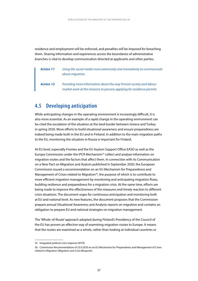residence and employment will be enforced, and penalties will be imposed for breaching them. Sharing information and experiences across the boundaries of administrative branches is vital to develop communication directed at applicants and other parties.

*Action 11 Using the social media more extensively and innovatively to communicate about migration.*

*Action 12 Providing more information about the way Finnish society and labour market work at the missions to persons applying for residence permits.*

### **4.5 Developing anticipation**

While anticipating changes in the operating environment is increasingly difficult, it is also more essential. As an example of a rapid change in the operating environment can be cited the escalation of the situation at the land border between Greece and Turkey in spring 2020. More efforts to build situational awareness and ensure preparedness are indeed being made both in the EU and in Finland. In addition to the main migration paths to the EU, monitoring the situation in Russia is important for Finland.

At EU level, especially Frontex and the EU Asylum Support Office EASO as well as the Europa Commission under the IPCR Mechanism35 collect and analyse information on migration routes and the factors that affect them. In connection with its Communication on a New Pact on Migration and Asylum published in September 2020, the European Commission issued a recommendation on an EU Mechanism for Preparedness and Management of Crises related to Migration<sup>36</sup>, the purpose of which is to contribute to more efficient migration management by monitoring and anticipating migration flows, building resilience and preparedness for a migration crisis. At the same time, efforts are being made to improve the effectiveness of the measures and timely reaction to different crisis situations. The document urges for continuous anticipation and monitoring both at EU and national level. As new features, the document proposes that the Commission prepare annual Situational Awareness and Analysis reports on migration and contains an obligation to prepare EU and national strategies on migration management.

The 'Whole-of-Route' approach adopted during Finland's Presidency of the Council of the EU has proven an effective way of examining migration routes to Europe. It means that the routes are examined as a whole, rather than looking at individual countries or

<sup>35</sup> Integrated political crisis response (IPCR)

<sup>36</sup> Commission Recommendation of 23.9.2020 on an EU Mechanism for Preparedness and Management of Crises related to Migration (Migration and Crisis Blueprint).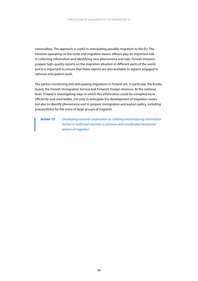nationalities. The approach is useful in anticipating possible migration to the EU. The missions operating on the route and migration liaison officers play an important role in collecting information and identifying new phenomena and risks. Finnish missions prepare high-quality reports on the migration situation in different parts of the world, and it is important to ensure that these reports are also available to experts engaged in national anticipation work.

The parties monitoring and anticipating migrations in Finland are, in particular, the Border Guard, the Finnish Immigration Service and Finland's foreign missions. At the national level, Finland is investigating ways in which this information could be compiled more efficiently and used better, not only to anticipate the development of migration routes but also to identify phenomena and to prepare immigration and asylum policy, including preparedness for the entry of large groups of migrants.

*Action 13 Developing national cooperation on collating and analysing information further to build and maintain a common and coordinated situational picture of migration.*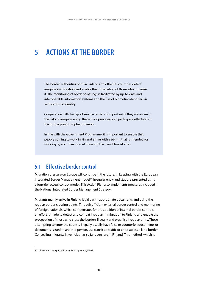# **5 ACTIONS AT THE BORDER**

The border authorities both in Finland and other EU countries detect irregular immigration and enable the prosecution of those who organise it. The monitoring of border crossings is facilitated by up-to-date and interoperable information systems and the use of biometric identifiers in verification of identity.

Cooperation with transport service carriers is important. If they are aware of the risks of irregular entry, the service providers can participate effectively in the fight against this phenomenon.

In line with the Government Programme, it is important to ensure that people coming to work in Finland arrive with a permit that is intended for working by such means as eliminating the use of tourist visas.

## **5.1 Effective border control**

Migration pressure on Europe will continue in the future. In keeping with the European Integrated Border Management model<sup>37</sup>, irregular entry and stay are prevented using a four-tier access control model. This Action Plan also implements measures included in the National Integrated Border Management Strategy.

Migrants mainly arrive in Finland legally with appropriate documents and using the regular border crossing points. Through efficient external border control and monitoring of foreign nationals, which compensates for the abolition of internal border controls, an effort is made to detect and combat irregular immigration to Finland and enable the prosecution of those who cross the borders illegally and organise irregular entry. Those attempting to enter the country illegally usually have false or counterfeit documents or documents issued to another person, use transit air traffic or enter across a land border. Concealing migrants in vehicles has so far been rare in Finland. This method, which is

<sup>37</sup> European Integrated Border Management, EIBM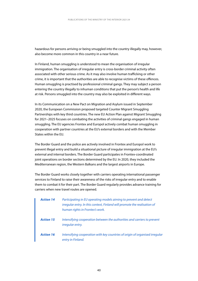hazardous for persons arriving or being smuggled into the country illegally may, however, also become more common in this country in a near future.

In Finland, human smuggling is understood to mean the organisation of irregular immigration. The organisation of irregular entry is cross-border criminal activity often associated with other serious crime. As it may also involve human trafficking or other crime, it is important that the authorities are able to recognise victims of these offences. Human smuggling is practised by professional criminal gangs. They may subject a person entering the country illegally to inhuman conditions that put the person's health and life at risk. Persons smuggled into the country may also be exploited in different ways.

In its Communication on a New Pact on Migration and Asylum issued in September 2020, the European Commission proposed targeted Counter Migrant Smuggling Partnerships with key third countries. The new EU Action Plan against Migrant Smuggling for 2021–2025 focuses on combating the activities of criminal gangs engaged in human smuggling. The EU agencies Frontex and Europol actively combat human smuggling in cooperation with partner countries at the EU's external borders and with the Member States within the EU.

The Border Guard and the police are actively involved in Frontex and Europol work to prevent illegal entry and build a situational picture of irregular immigration at the EU's external and internal borders. The Border Guard participates in Frontex-coordinated joint operations on border sections determined by the EU. In 2020, they included the Mediterranean region, the Western Balkans and the largest airports in Europe.

The Border Guard works closely together with carriers operating international passenger services to Finland to raise their awareness of the risks of irregular entry and to enable them to combat it for their part. The Border Guard regularly provides advance training for carriers when new travel routes are opened.

| <b>Action 14</b> | Participating in EU operating models aiming to prevent and detect<br>irregular entry. In this context, Finland will promote the realisation of<br>human rights in Frontex's work. |
|------------------|-----------------------------------------------------------------------------------------------------------------------------------------------------------------------------------|
| <b>Action 15</b> | Intensifying cooperation between the authorities and carriers to prevent<br>irregular entry.                                                                                      |
| <b>Action 16</b> | Intensifying cooperation with key countries of origin of organised irregular<br>entry in Finland.                                                                                 |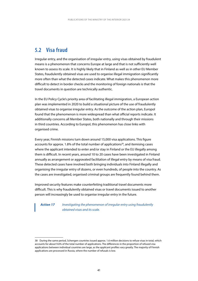## **5.2 Visa fraud**

Irregular entry, and the organisation of irregular entry, using visas obtained by fraudulent means is a phenomenon that concerns Europe at large and that is not sufficiently well known to assess its scale. It is highly likely that in Finland as well as in other EU Member States, fraudulently obtained visas are used to organise illegal immigration significantly more often than what the detected cases indicate. What makes this phenomenon more difficult to detect in border checks and the monitoring of foreign nationals is that the travel documents in question are technically authentic.

In the EU Policy Cycle's priority area of facilitating illegal immigration, a European action plan was implemented in 2020 to build a situational picture of the use of fraudulently obtained visas to organise irregular entry. As the outcome of the action plan, Europol found that the phenomenon is more widespread than what official reports indicate. It additionally concerns all Member States, both nationally and through their missions in third countries. According to Europol, this phenomenon has close links with organised crime.

Every year, Finnish missions turn down around 15,000 visa applications. This figure accounts for approx. 1.8% of the total number of applications<sup>38</sup>, and itemising cases where the applicant intended to enter and/or stay in Finland or the EU illegally among them is difficult. In recent years, around 10 to 20 cases have been investigated in Finland annually as arrangement or aggravated facilitation of illegal entry by means of visa fraud. These detected cases have involved both bringing individuals into Finland illegally and organising the irregular entry of dozens, or even hundreds, of people into the country. As the cases are investigated, organised criminal groups are frequently found behind them.

Improved security features make counterfeiting traditional travel documents more difficult. This is why fraudulently obtained visas or travel documents issued to another person will increasingly be used to organise irregular entry in the future.

*Action 17 Investigating the phenomenon of irregular entry using fraudulently obtained visas and its scale.*

<sup>38</sup> During the same period, Schengen countries issued approx. 1.6 million decisions to refuse visas in total, which accounts for about 9.6% of the total number of applications. The differences in the proportion of refused visa applications between individual countries are large, as the applicant profiles vary greatly. The majority of Finnish applications are processed in Russia, where the number of refusals is low.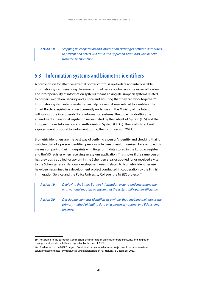*Action 18 Stepping up cooperation and information exchanges between authorities to prevent and detect visa fraud and apprehend criminals who benefit from this phenomenon.*

### **5.3 Information systems and biometric identifiers**

A precondition for effective external border control is up-to-date and interoperable information systems enabling the monitoring of persons who cross the external borders. The interoperability of information systems means linking all European systems related to borders, migration, security and justice and ensuring that they can work together.<sup>39</sup> Information system interoperability can help prevent abuses related to identities. The Smart Borders legislative project currently under way in the Ministry of the Interior will support the interoperability of information systems. The project is drafting the amendments to national legislation necessitated by the Entry/Exit System (EES) and the European Travel Information and Authorisation System (ETIAS). The goal is to submit a government proposal to Parliament during the spring session 2021.

Biometric identifiers are the best way of verifying a person's identity and checking that it matches that of a person identified previously. In case of asylum seekers, for example, this means comparing their fingerprints with fingerprint data stored in the Eurodac register and the VIS register when receiving an asylum application. This shows if the same person has previously applied for asylum in the Schengen area, or applied for or received a visa to the Schengen area. National development needs related to biometric identifier use have been examined in a development project conducted in cooperation by the Finnish Immigration Service and the Police University College (the MISEC project).40

*Action 19 Deploying the Smart Borders information systems and integrating them with national registers to ensure that the system will operate efficiently.*

*Action 20 Developing biometric identifiers as a whole, thus enabling their use as the primary method of finding data on a person in national and EU systems on entry.*

<sup>39</sup> According to the European Commission, the information systems for border security and migration management should be fully interoperable by the end of 2023.

<sup>40</sup> Final report of the MISEC project, "Kehittämistarpeet maahanmuutto- ja turvallisuusviranomaisten selvittämistoiminnassa ja yhteistyössä ulkomaalaisasioiden käsittelyssä" 3 December 2020.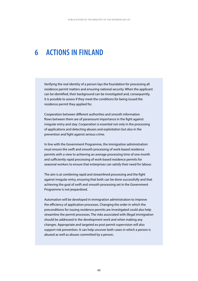# **6 ACTIONS IN FINLAND**

Verifying the real identity of a person lays the foundation for processing all residence permit matters and ensuring national security. When the applicant can be identified, their background can be investigated and, consequently, it is possible to assess if they meet the conditions for being issued the residence permit they applied for.

Cooperation between different authorities and smooth information flows between them are of paramount importance in the fight against irregular entry and stay. Cooperation is essential not only in the processing of applications and detecting abuses and exploitation but also in the prevention and fight against serious crime.

In line with the Government Programme, the immigration administration must ensure the swift and smooth processing of work-based residence permits with a view to achieving an average processing time of one month and sufficiently rapid processing of work-based residence permits for seasonal workers to ensure that enterprises can satisfy their need for labour.

The aim is at combining rapid and streamlined processing and the fight against irregular entry, ensuring that both can be done successfully and that achieving the goal of swift and smooth processing set in the Government Programme is not jeopardised.

Automation will be developed in immigration administration to improve the efficiency of application processes. Changing the order in which the preconditions for issuing residence permits are investigated could also help streamline the permit processes. The risks associated with illegal immigration should be addressed in the development work and when making any changes. Appropriate and targeted ex post permit supervision will also support risk prevention. It can help uncover both cases in which a person is abused as well as abuses committed by a person.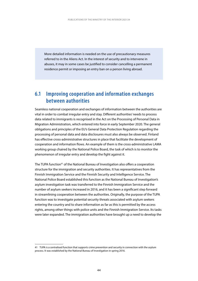More detailed information is needed on the use of precautionary measures referred to in the Aliens Act. In the interest of security and to intervene in abuses, it may in some cases be justified to consider cancelling a permanent residence permit or imposing an entry ban on a person living abroad.

## **6.1 Improving cooperation and information exchanges between authorities**

Seamless national cooperation and exchanges of information between the authorities are vital in order to combat irregular entry and stay. Different authorities' needs to process data related to immigrants is recognised in the Act on the Processing of Personal Data in Migration Administration, which entered into force in early September 2020. The general obligations and principles of the EU's General Data Protection Regulation regarding the processing of personal data and data disclosures must also always be observed. Finland has effective cross-administrative structures in place that facilitate the development of cooperation and information flows. An example of them is the cross-administrative LAMA working group chaired by the National Police Board, the task of which is to monitor the phenomenon of irregular entry and develop the fight against it.

The TUPA function<sup>41</sup> of the National Bureau of Investigation also offers a cooperation structure for the immigration and security authorities. It has representatives from the Finnish Immigration Service and the Finnish Security and Intelligence Service. The National Police Board established this function as the National Bureau of Investigation's asylum investigation task was transferred to the Finnish Immigration Service and the number of asylum seekers increased in 2016, and it has been a significant step forward in streamlining cooperation between the authorities. Originally, the purpose of the TUPA function was to investigate potential security threats associated with asylum seekers entering the country and to share information as far as this is permitted by the access rights, among other things with police units and the Finnish Immigration Service. Its tasks were later expanded. The immigration authorities have brought up a need to develop the

<sup>41</sup> TUPA is a centralised function that supports crime prevention and security in connection with the asylum process. It was established by the National Bureau of Investigation in spring 2016.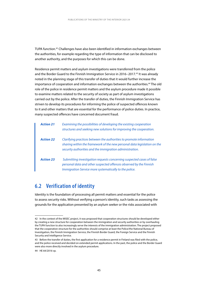TUPA function.42 Challenges have also been identified in information exchanges between the authorities, for example regarding the type of information that can be disclosed to another authority, and the purposes for which this can be done.

Residence permit matters and asylum investigations were transferred from the police and the Border Guard to the Finnish Immigration Service in 2016−2017.43 It was already noted in the planning stage of this transfer of duties that it would further increase the importance of cooperation and information exchanges between the authorities.44 The old role of the police in residence permit matters and the asylum procedure made it possible to examine matters related to the security of society as part of asylum investigations carried out by the police. After the transfer of duties, the Finnish Immigration Service has striven to develop its procedures for informing the police of suspected offences known to it and other matters that are essential for the performance of police duties. In practice, many suspected offences have concerned document fraud.

| <b>Action 21</b> | Examining the possibilities of developing the existing cooperation<br>structures and seeking new solutions for improving the cooperation.                                                                   |
|------------------|-------------------------------------------------------------------------------------------------------------------------------------------------------------------------------------------------------------|
| <b>Action 22</b> | Clarifying practices between the authorities to promote information<br>sharing within the framework of the new personal data legislation on the<br>security authorities and the immigration administration. |
| <b>Action 23</b> | Submitting investigation requests concerning suspected cases of false<br>personal data and other suspected offences observed by the Finnish<br>Immigration Service more systematically to the police.       |

# **6.2 Verification of identity**

Identity is the foundation of processing all permit matters and essential for the police to assess security risks. Without verifying a person's identity, such tasks as assessing the grounds for the application presented by an asylum seeker or the risks associated with

<sup>42</sup> In the context of the MISEC project, it was proposed that cooperation structures should be developed either by creating a new structure for cooperation between the immigration and security authorities or by overhauling the TUPA function to also increasingly serve the interests of the immigration administration. The project proposed that the cooperation structure for the authorities should comprise at least the Police/the National Bureau of Investigation, the Finnish Immigration Service, the Finnish Border Guard, the Foreign Service and the Finnish Security and Intelligence Service.

<sup>43</sup> Before the transfer of duties, the first application for a residence permit in Finland was filed with the police, and the police received and decided on extended permit applications. In the past, the police and the Border Guard were also more directly involved in the asylum procedure.

<sup>44</sup> HE 64/2016 vp.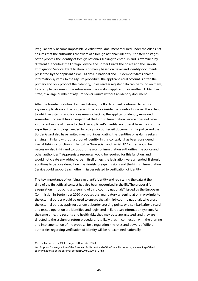irregular entry become impossible. A valid travel document required under the Aliens Act ensures that the authorities are aware of a foreign national's identity. At different stages of the process, the identity of foreign nationals seeking to enter Finland is examined by different authorities: the Foreign Service, the Border Guard, the police and the Finnish Immigration Service. Identification is primarily based on travel and identity documents presented by the applicant as well as data in national and EU Member States' shared information systems. In the asylum procedure, the applicant's oral account is often the primary and only proof of their identity, unless earlier register data can be found on them, for example concerning the submission of an asylum application in another EU Member State, as a large number of asylum seekers arrive without an identity document.

After the transfer of duties discussed above, the Border Guard continued to register asylum applications at the border and the police inside the country. However, the extent to which registering applications means checking the applicant's identity remained somewhat unclear. It has emerged that the Finnish Immigration Service does not have a sufficient range of means to check an applicant's identity, nor does it have the in-house expertise or technology needed to recognise counterfeit documents. The police and the Border Guard also have limited means of investigating the identities of asylum seekers arriving in Finland without a proof of identity. In this context, it has been considered if establishing a function similar to the Norwegian and Danish ID Centres would be necessary also in Finland to support the work of immigration authorities, the police and other authorities.45 Appropriate resources would be required for this function, and it would not create any added value in itself unless the legislation were amended. It should additionally be considered how the Finnish foreign missions and the Finnish Immigration Service could support each other in issues related to verification of identity.

The key importance of verifying a migrant's identity and registering the data at the time of the first official contact has also been recognised in the EU. The proposal for a regulation introducing a screening of third country nationals<sup>46</sup> issued by the European Commission in September 2020 proposes that mandatory screening at or in proximity to the external border would be used to ensure that all third-country nationals who cross the external border, apply for asylum at border crossing points or disembark after a search and rescue operation are identified and registered in European information systems. At the same time, the security and health risks they may pose are assessed, and they are directed to the asylum or return procedure. It is likely that, in connection with the drafting and implementation of the proposal for a regulation, the roles and powers of different authorities regarding verification of identity will be re-examined nationally.

<sup>45</sup> Final report of the MISEC project 3 December 2020.

<sup>46</sup> Proposal for a regulation of the European Parliament and of the Council introducing a screening of third country nationals at the external borders; COM (2020) 612 final.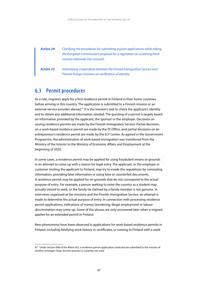*Action 24 Clarifying the procedures for submitting asylum applications while taking the European Commission's proposal for a regulation on screening thirdcountry nationals into account.*

*Action 25 Intensifying cooperation between the Finnish Immigration Service and Finnish foreign missions on verification of identity.*

### **6.3 Permit procedures**

As a rule, migrants apply for a first residence permit in Finland in their home countries before arriving in this country. The application is submitted to a Finnish mission or an external service provider abroad.<sup>47</sup> It is the mission's task to check the applicant's identity and to obtain any additional information needed. The granting of a permit is largely based on information provided by the applicant, the sponsor or the employer. Decisions on issuing residence permits are made by the Finnish Immigration Service. Partial decisions on a work-based residence permit are made by the TE Office, and partial decisions on an entrepreneur's residence permit are made by the ELY Centre. As agreed in the Government Programme, the administration of work-based immigration was transferred from the Ministry of the Interior to the Ministry of Economic Affairs and Employment at the beginning of 2020.

In some cases, a residence permit may be applied for using fraudulent means or grounds in an attempt to come up with a reason for legal entry. The applicant, or the employer or customer inviting the applicant to Finland, may try to evade the regulations by concealing information, providing false information or using false or counterfeit documents. A residence permit may be applied for on grounds that do not correspond to the actual purpose of entry. For example, a person seeking to enter the country as a student may actually intend to work, or the family tie claimed by a family member is not genuine. In interviews organised at the missions and the Finnish Immigration Service, an attempt is made to determine the actual purpose of entry. In connection with processing residence permit applications, indications of money laundering, illegal employment or labour discrimination may come up. Some of the abuses are only uncovered later when a migrant applies for an extended permit in Finland.

New phenomena have been observed in applications for work-based residence permits in Finland, including falsifying work history or certificates, or coming to Finland with a work

<sup>47</sup> Under section 69b of the Aliens Act, a residence permit application could also be submitted to the mission of another Schengen State, but this practice is currently not used.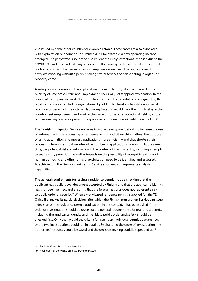visa issued by some other country, for example Estonia. These cases are also associated with exploitation phenomena. In summer 2020, for example, a new operating method emerged. The perpetrators sought to circumvent the entry restrictions imposed due to the COVID-19 pandemic and to bring persons into the country with counterfeit employment contracts, in which the names of Finnish employers were used. The real purpose of entry was working without a permit, selling sexual services or participating in organised property crime.

A sub-group on preventing the exploitation of foreign labour, which is chaired by the Ministry of Economic Affairs and Employment, seeks ways of stopping exploitation. In the course of its preparative work, the group has discussed the possibility of safeguarding the legal status of an exploited foreign national by adding to the aliens legislation a special provision under which the victim of labour exploitation would have the right to stay in the country, seek employment and work in the same or some other vocational field by virtue of their existing residence permit. The group will continue its work until the end of 2021.

The Finnish Immigration Service engages in active development efforts to increase the use of automation in the processing of residence permit and citizenship matters. The purpose of using automation is to process applications more efficiently and thus shorten their processing times in a situation where the number of applications is growing. At the same time, the potential risks of automation in the context of irregular entry, including attempts to evade entry provisions, as well as impacts on the possibility of recognising victims of human trafficking and other forms of exploitation need to be identified and assessed. To achieve this, the Finnish Immigration Service also needs to improve its analysis capabilities.

The general requirements for issuing a residence permit include checking that the applicant has a valid travel document accepted by Finland and that the applicant's identity has thus been verified, and ensuring that the foreign national does not represent a risk to public order or security.<sup>48</sup> When a work-based residence permit is applied for, the TE Office first makes its partial decision, after which the Finnish Immigration Service can issue a decision on the residence permit application. In this context, it has been asked if the order of investigation should be reversed: the general requirements for granting a permit, including the applicant's identity and the risk to public order and safety, should be checked first. Only then would the criteria for issuing an individual permit be examined, or the two investigations could run in parallel. By changing the order of investigation, the authorities' resources could be saved and the decision-making could be speeded up.<sup>49</sup>

<sup>48</sup> Sections 35 and 36.1 of the Aliens Act.

<sup>49</sup> Final report of the MISEC project 3 December 2020.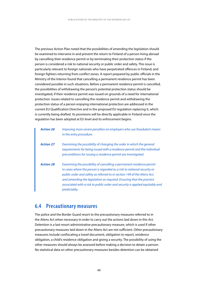The previous Action Plan noted that the possibilities of amending the legislation should be examined to intervene in and prevent the return to Finland of a person living abroad by cancelling their residence permit or by terminating their protection status if the person is considered a risk to national security or public order and safety. This issue is particularly relevant to foreign nationals who have perpetrated offences in Finland, and foreign fighters returning from conflict zones. A report prepared by public officials in the Ministry of the Interior found that cancelling a permanent residence permit has been considered possible in such situations. Before a permanent residence permit is cancelled, the possibilities of withdrawing the person's potential protection status should be investigated, if their residence permit was issued on grounds of a need for international protection. Issues related to cancelling the residence permit and withdrawing the protection status of a person enjoying international protection are addressed in the current EU Qualification Directive and in the proposed EU regulation replacing it, which is currently being drafted. Its provisions will be directly applicable in Finland once the regulation has been adopted at EU level and its enforcement begins.

| <b>Action 26</b> | Imposing more severe penalties on employers who use fraudulent means<br>in the entry procedure.                                                                                                                                                                                                                                                                                                     |
|------------------|-----------------------------------------------------------------------------------------------------------------------------------------------------------------------------------------------------------------------------------------------------------------------------------------------------------------------------------------------------------------------------------------------------|
| <b>Action 27</b> | Examining the possibility of changing the order in which the general<br>requirements for being issued with a residence permit and the individual<br>preconditions for issuing a residence permit are investigated.                                                                                                                                                                                  |
| <b>Action 28</b> | Examining the possibility of cancelling a permanent residence permit<br>in cases where the person is regarded as a risk to national security or<br>public order and safety as referred to in section 149 of the Aliens Act,<br>and amending the legislation as required. Ensuring that the practice<br>associated with a risk to public order and security is applied equitably and<br>predictably. |

#### **6.4 Precautionary measures**

The police and the Border Guard resort to the precautionary measures referred to in the Aliens Act when necessary in order to carry out the actions laid down in this Act. Detention is a last-resort administrative precautionary measure, which is used if other precautionary measures laid down in the Aliens Act are not sufficient. Other precautionary measures include confiscating a travel document, obligation to report, residence obligation, a child's residence obligation and giving a security. The possibility of using the other measures should always be assessed before making a decision to detain a person. No statistical data on other precautionary measures besides detention can be obtained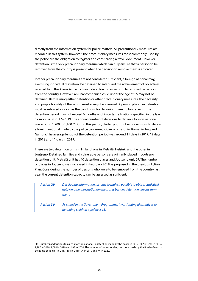directly from the information system for police matters. All precautionary measures are recorded in this system, however. The precautionary measures most commonly used by the police are the obligation to register and confiscating a travel document. However, detention is the only precautionary measure which can fully ensure that a person to be removed from the country is present when the decision to remove them is enforced.

If other precautionary measures are not considered sufficient, a foreign national may, exercising individual discretion, be detained to safeguard the achievement of objectives referred to in the Aliens Act, which include enforcing a decision to remove the person from the country. However, an unaccompanied child under the age of 15 may not be detained. Before using either detention or other precautionary measures, the necessity and proportionality of the action must always be assessed. A person placed in detention must be released as soon as the conditions for detaining them no longer exist. The detention period may not exceed 6 months and, in certain situations specified in the law, 12 months. In 2017−2019, the annual number of decisions to detain a foreign national was around 1,200 to 1,400.<sup>50</sup> During this period, the largest number of decisions to detain a foreign national made by the police concerned citizens of Estonia, Romania, Iraq and Gambia. The average length of the detention period was around 11 days in 2017, 12 days in 2018 and 11 days in 2019.

There are two detention units in Finland, one in Metsälä, Helsinki and the other in Joutseno. Detained families and vulnerable persons are primarily placed in Joutseno detention unit. Metsälä unit has 40 detention places and Joutseno unit 69. The number of places in Joutseno was increased in February 2018 as proposed in the previous Action Plan. Considering the number of persons who were to be removed from the country last year, the current detention capacity can be assessed as sufficient.

| <b>Action 29</b> | Developing information systems to make it possible to obtain statistical<br>data on other precautionary measures besides detention directly from<br>them. |
|------------------|-----------------------------------------------------------------------------------------------------------------------------------------------------------|
| <b>Action 30</b> | As stated in the Government Programme, investigating alternatives to<br>detaining children aged over 15.                                                  |

<sup>50</sup> Numbers of decisions to place a foreign national in detention made by the police in 2017−2020: 1,234 in 2017, 1,287 in 2018, 1,080 in 2019 and 693 in 2020. The number of corresponding decisions made by the Border Guard in the same period: 61 in 2017, 103 in 2018, 94 in 2019 and 74 in 2020.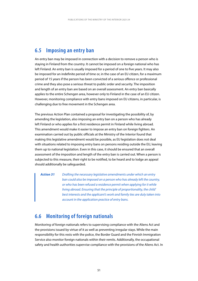### **6.5 Imposing an entry ban**

An entry ban may be imposed in connection with a decision to remove a person who is staying in Finland from the country. It cannot be imposed on a foreign national who has left Finland. An entry ban is usually imposed for a period of one to five years. It may also be imposed for an indefinite period of time or, in the case of an EU citizen, for a maximum period of 15 years if the person has been convicted of a serious offence or professional crime and they also pose a serious threat to public order and security. The imposition and length of an entry ban are based on an overall assessment. An entry ban basically applies to the entire Schengen area, however only to Finland in the case of an EU citizen. However, monitoring compliance with entry bans imposed on EU citizens, in particular, is challenging due to free movement in the Schengen area.

The previous Action Plan contained a proposal for investigating the possibility of, by amending the legislation, also imposing an entry ban on a person who has already left Finland or who applies for a first residence permit in Finland while living abroad. This amendment would make it easier to impose an entry ban on foreign fighters. An examination carried out by public officials at the Ministry of the Interior found that making this legislative amendment would be possible, as EU legislation does not deal with situations related to imposing entry bans on persons residing outside the EU, leaving them up to national legislation. Even in this case, it should be ensured that an overall assessment of the imposition and length of the entry ban is carried out. When a person is subjected to this measure, their right to be notified, to be heard and to lodge an appeal should additionally be safeguarded.

*Action 31 Drafting the necessary legislative amendments under which an entry ban could also be imposed on a person who has already left the country, or who has been refused a residence permit when applying for it while living abroad. Ensuring that the principle of proportionality, the child' best interests and the applicant's work and family ties are duly taken into account in the application practice of entry bans.*

### **6.6 Monitoring of foreign nationals**

Monitoring of foreign nationals refers to supervising compliance with the Aliens Act and the provisions issued by virtue of it as well as preventing irregular stays. While the main responsibility for this rests with the police, the Border Guard and the Finnish Immigration Service also monitor foreign nationals within their remits. Additionally, the occupational safety and health authorities supervise compliance with the provisions of the Aliens Act. In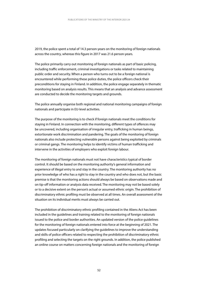2019, the police spent a total of 14.3 person-years on the monitoring of foreign nationals across the country, whereas this figure in 2017 was 21.6 person-years.

The police primarily carry out monitoring of foreign nationals as part of basic policing, including traffic enforcement, criminal investigations or tasks related to maintaining public order and security. When a person who turns out to be a foreign national is encountered while performing these police duties, the police officers check their preconditions for staying in Finland. In addition, the police engage separately in thematic monitoring based on analysis results. This means that an analysis and advance assessment are conducted to decide the monitoring targets and grounds.

The police annually organise both regional and national monitoring campaigns of foreign nationals and participate in EU-level activities.

The purpose of the monitoring is to check if foreign nationals meet the conditions for staying in Finland. In connection with the monitoring, different types of offences may be uncovered, including organisation of irregular entry, trafficking in human beings, extortionate work discrimination and pandering. The goals of the monitoring of foreign nationals also include protecting vulnerable persons against being exploited by criminals or criminal gangs. The monitoring helps to identify victims of human trafficking and intervene in the activities of employers who exploit foreign labour.

The monitoring of foreign nationals must not have characteristics typical of border control. It should be based on the monitoring authority's general information and experience of illegal entry to and stay in the country. The monitoring authority has no prior knowledge of who has a right to stay in the country and who does not, but the basic premise is that the monitoring actions should always be based on observations made and on tip-off information or analysis data received. The monitoring may not be based solely or to a decisive extent on the person's actual or assumed ethnic origin. The prohibition of discriminatory ethnic profiling must be observed at all times. An overall assessment of the situation on its individual merits must always be carried out.

The prohibition of discriminatory ethnic profiling contained in the Aliens Act has been included in the guidelines and training related to the monitoring of foreign nationals issued to the police and border authorities. An updated version of the police guidelines for the monitoring of foreign nationals entered into force at the beginning of 2021. The updates focused particularly on clarifying the guidelines to improve the understanding and skills of police officers related to respecting the prohibition of discriminatory ethnic profiling and selecting the targets on the right grounds. In addition, the police published an online course on matters concerning foreign nationals and the monitoring of foreign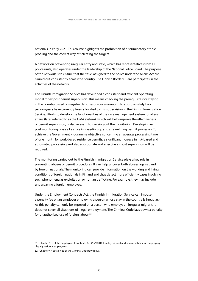nationals in early 2021. This course highlights the prohibition of discriminatory ethnic profiling and the correct way of selecting the targets.

A network on preventing irregular entry and stays, which has representatives from all police units, also operates under the leadership of the National Police Board. The purpose of the network is to ensure that the tasks assigned to the police under the Aliens Act are carried out consistently across the country. The Finnish Border Guard participates in the activities of the network.

The Finnish Immigration Service has developed a consistent and efficient operating model for ex post permit supervision. This means checking the prerequisites for staying in the country based on register data. Resources amounting to approximately two person-years have currently been allocated to this supervision in the Finnish Immigration Service. Efforts to develop the functionalities of the case management system for aliens affairs (later referred to as the UMA system), which will help improve the effectiveness of permit supervision, is also relevant to carrying out the monitoring. Developing ex post monitoring plays a key role in speeding up and streamlining permit processes. To achieve the Government Programme objective concerning an average processing time of one month for work-based residence permits, a significant increase in risk-based and automated processing and also appropriate and effective ex post supervision will be required.

The monitoring carried out by the Finnish Immigration Service plays a key role in preventing abuses of permit procedures. It can help uncover both abuses against and by foreign nationals. The monitoring can provide information on the working and living conditions of foreign nationals in Finland and thus detect more efficiently cases involving such phenomena as exploitation or human trafficking. For example, they may include underpaying a foreign employee.

Under the Employment Contracts Act, the Finnish Immigration Service can impose a penalty fee on an employer employing a person whose stay in the country is irregular.<sup>51</sup> As this penalty can only be imposed on a person who employs an irregular migrant, it does not cover all situations of illegal employment. The Criminal Code lays down a penalty for unauthorised use of foreign labour.<sup>52</sup>

<sup>51</sup> Chapter 11a of the Employment Contracts Act (55/2001) (Employers' joint and several liabilities in employing illegally resident employees).

<sup>52</sup> Chapter 47, section 6a of the Criminal Code (39/1889).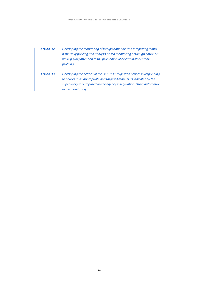- *Action 32 Developing the monitoring of foreign nationals and integrating it into basic daily policing and analysis-based monitoring of foreign nationals while paying attention to the prohibition of discriminatory ethnic profiling.*
- *Action 33 Developing the actions of the Finnish Immigration Service in responding to abuses in an appropriate and targeted manner as indicated by the supervisory task imposed on the agency in legislation. Using automation in the monitoring.*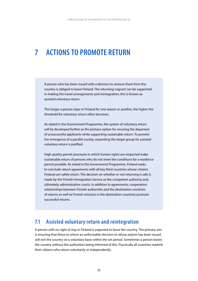# **7 ACTIONS TO PROMOTE RETURN**

A person who has been issued with a decision to remove them from the country is obliged to leave Finland. The returning migrant can be supported in making the travel arrangements and reintegration; this is known as assisted voluntary return.

The longer a person stays in Finland for one reason or another, the higher the threshold for voluntary return often becomes.

As stated in the Government Programme, the system of voluntary return will be developed further as the primary option for securing the departure of unsuccessful applicants while supporting sustainable return. To prevent the emergence of a parallel society, expanding the target group for assisted voluntary return is justified.

High-quality permit processes in which human rights are respected make sustainable return of persons who do not meet the conditions for a residence permit possible. As noted in the Government Programme, Finland seeks to conclude return agreements with all key third countries whose citizens Finland can safely return. The decision on whether or not returning is safe is made by the Finnish Immigration Service as the competent authority and, ultimately, administrative courts. In addition to agreements, cooperation relationships between Finnish authorities and the destination countries of returns as well as Finnish missions in the destination countries promote successful returns.

#### **7.1 Assisted voluntary return and reintegration**

A person with no right of stay in Finland is expected to leave the country. The primary aim is ensuring that those to whom an enforceable decision to refuse asylum has been issued will exit the country on a voluntary basis within the set period. Sometimes a person leaves the country without the authorities being informed of this. Practically all countries readmit their citizens who return voluntarily or independently.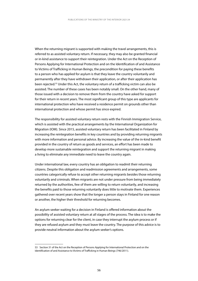When the returning migrant is supported with making the travel arrangements, this is referred to as assisted voluntary return. If necessary, they may also be granted financial or in-kind assistance to support their reintegration. Under the Act on the Reception of Persons Applying for International Protection and on the Identification of and Assistance to Victims of Trafficking in Human Beings, the precondition for paying these benefits to a person who has applied for asylum is that they leave the country voluntarily and permanently after they have withdrawn their application, or after their application has been rejected.53 Under this Act, the voluntary return of a trafficking victim can also be assisted. The number of these cases has been notably small. On the other hand, many of those issued with a decision to remove them from the country have asked for support for their return in recent years. The most significant group of this type are applicants for international protection who have received a residence permit on grounds other than international protection and whose permit has since expired.

The responsibility for assisted voluntary return rests with the Finnish Immigration Service, which is assisted with the practical arrangements by the International Organization for Migration (IOM). Since 2015, assisted voluntary return has been facilitated in Finland by increasing the reintegration benefits in key countries and by providing returning migrants with more information and personal advice. By increasing the value of the in-kind benefit provided in the country of return as goods and services, an effort has been made to develop more sustainable reintegration and support the returning migrant in making a living to eliminate any immediate need to leave the country again.

Under international law, every country has an obligation to readmit their returning citizens. Despite this obligation and readmission agreements and arrangements, some countries categorically refuse to accept other returning migrants besides those returning voluntarily and criminals. When migrants are not under pressure from being immediately returned by the authorities, few of them are willing to return voluntarily, and increasing the benefits paid to those returning voluntarily does little to motivate them. Experiences gathered over recent years show that the longer a person stays in Finland for one reason or another, the higher their threshold for returning becomes.

An asylum seeker waiting for a decision in Finland is offered information about the possibility of assisted voluntary return at all stages of the process. The idea is to make the options for returning clear for the client, in case they interrupt the asylum process or if they are refused asylum and they must leave the country. The purpose of this advice is to provide neutral information about the asylum seeker's options.

<sup>53</sup> Section 31 of the Act on the Reception of Persons Applying for International Protection and on the Identification of and Assistance to Victims of Trafficking in Human Beings (746/2011).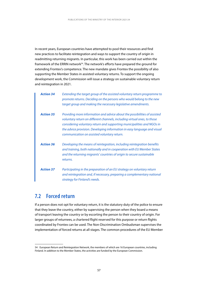In recent years, European countries have attempted to pool their resources and find new practices to facilitate reintegration and ways to support the country of origin in readmitting returning migrants. In particular, this work has been carried out within the framework of the ERRIN network<sup>54</sup>. The network's efforts have prepared the ground for extending Frontex's competence. The new mandate gives Frontex the possibility of also supporting the Member States in assisted voluntary returns. To support the ongoing development work, the Commission will issue a strategy on sustainable voluntary return and reintegration in 2021.

| <b>Action 34</b> | Extending the target group of the assisted voluntary return programme to<br>promote returns. Deciding on the persons who would belong to the new<br>target group and making the necessary legislative amendments.                                                                                                                                          |
|------------------|------------------------------------------------------------------------------------------------------------------------------------------------------------------------------------------------------------------------------------------------------------------------------------------------------------------------------------------------------------|
| <b>Action 35</b> | Providing more information and advice about the possibilities of assisted<br>voluntary return on different channels, including virtual ones, to those<br>considering voluntary return and supporting municipalities and NGOs in<br>the advice provision. Developing information in easy language and visual<br>communication on assisted voluntary return. |
| <b>Action 36</b> | Developing the means of reintegration, including reintegration benefits<br>and training, both nationally and in cooperation with EU Member States<br>and the returning migrants' countries of origin to secure sustainable<br>returns.                                                                                                                     |
| <b>Action 37</b> | Participating in the preparation of an EU strategy on voluntary return<br>and reintegration and, if necessary, preparing a complementary national<br>strategy for Finland's needs.                                                                                                                                                                         |

### **7.2 Forced return**

If a person does not opt for voluntary return, it is the statutory duty of the police to ensure that they leave the country, either by supervising the person when they board a means of transport leaving the country or by escorting the person to their country of origin. For larger groups of returnees, a chartered flight reserved for this purpose or return flights coordinated by Frontex can be used. The Non-Discrimination Ombudsman supervises the implementation of forced returns at all stages. The common procedures of the EU Member

<sup>54</sup> European Return and Reintegration Network, the members of which are 16 European countries, including Finland. In addition to the Member States, the activities are funded by the European Commission.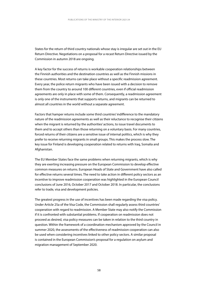States for the return of third country nationals whose stay is irregular are set out in the EU Return Directive. Negotiations on a proposal for a recast Return Directive issued by the Commission in autumn 2018 are ongoing.

A key factor for the success of returns is workable cooperation relationships between the Finnish authorities and the destination countries as well as the Finnish missions in these countries. Most returns can take place without a specific readmission agreement. Every year, the police return migrants who have been issued with a decision to remove them from the country to around 100 different countries, even if official readmission agreements are only in place with some of them. Consequently, a readmission agreement is only one of the instruments that supports returns, and migrants can be returned to almost all countries in the world without a separate agreement.

Factors that hamper returns include some third countries' indifference to the mandatory nature of the readmission agreements as well as their reluctance to recognise their citizens when the migrant is returned by the authorities' actions, to issue travel documents to them and to accept others than those returning on a voluntary basis. For many countries, forced returns of their citizens are a sensitive issue of internal politics, which is why they prefer to receive returning migrants in small groups. This makes the process slow. The key issue for Finland is developing cooperation related to returns with Iraq, Somalia and Afghanistan.

The EU Member States face the same problems when returning migrants, which is why they are exerting increasing pressure on the European Commission to develop effective common measures on returns. European Heads of State and Government have also called for effective returns several times. The need to take action in different policy sectors as an incentive to improve readmission cooperation was highlighted in the European Council conclusions of June 2016, October 2017 and October 2018. In particular, the conclusions refer to trade, visa and development policies.

The greatest progress in the use of incentives has been made regarding the visa policy. Under Article 25a of the Visa Code, the Commission shall regularly assess third countries' cooperation with regard to readmission. A Member State may also notify the Commission if it is confronted with substantial problems. If cooperation on readmission does not proceed as desired, visa policy measures can be taken in relation to the third country in question. Within the framework of a coordination mechanism approved by the Council in summer 2020, the assessments of the effectiveness of readmission cooperation can also be used when considering incentives linked to other policy sectors. A similar proposal is contained in the European Commission's proposal for a regulation on asylum and migration management of September 2020.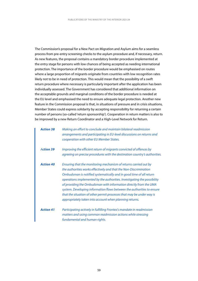The Commission's proposal for a New Pact on Migration and Asylum aims for a seamless process from pre-entry screening checks to the asylum procedure and, if necessary, return. As new features, the proposal contains a mandatory border procedure implemented at the entry stage for persons with low chances of being accepted as needing international protection. The importance of the border procedure would be emphasised on routes where a large proportion of migrants originate from countries with low recognition rates likely not to be in need of protection. This would mean that the possibility of a swift return procedure where necessary is particularly important after the application has been individually assessed. The Government has considered that additional information on the acceptable grounds and marginal conditions of the border procedure is needed at the EU level and emphasised the need to ensure adequate legal protection. Another new feature in the Commission proposal is that, in situations of pressure and in crisis situations, Member States could express solidarity by accepting responsibility for returning a certain number of persons (so-called 'return sponsorship'). Cooperation in return matters is also to be improved by a new Return Coordinator and a High-Level Network for Return.

| <b>Action 38</b> | Making an effort to conclude and maintain bilateral readmission<br>arrangements and participating in EU-level discussions on returns and<br>cooperation with other EU Member States.                                                                                                                                                                                                                                                                                                                                                                                        |
|------------------|-----------------------------------------------------------------------------------------------------------------------------------------------------------------------------------------------------------------------------------------------------------------------------------------------------------------------------------------------------------------------------------------------------------------------------------------------------------------------------------------------------------------------------------------------------------------------------|
| <b>Action 39</b> | Improving the efficient return of migrants convicted of offences by<br>agreeing on precise procedures with the destination country's authorities.                                                                                                                                                                                                                                                                                                                                                                                                                           |
| <b>Action 40</b> | Ensuring that the monitoring mechanism of returns carried out by<br>the authorities works effectively and that the Non-Discrimination<br>Ombudsman is notified systematically and in good time of all return<br>operations implemented by the authorities. Investigating the possibility<br>of providing the Ombudsman with information directly from the UMA<br>system. Developing information flows between the authorities to ensure<br>that the situation of other permit processes that may be under way is<br>appropriately taken into account when planning returns. |
| <b>Action 41</b> | Participating actively in fulfilling Frontex's mandate in readmission<br>matters and using common readmission actions while stressing<br>fundamental and human rights.                                                                                                                                                                                                                                                                                                                                                                                                      |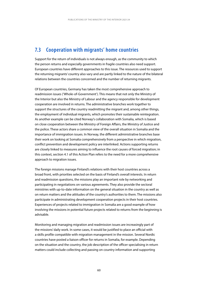## **7.3 Cooperation with migrants' home countries**

Support for the return of individuals is not always enough, as the community to which the person returns and especially governments in fragile countries also need support. European countries have different approaches to this issue. The resources used to support the returning migrants' country also vary and are partly linked to the nature of the bilateral relations between the countries concerned and the number of returning migrants.

Of European countries, Germany has taken the most comprehensive approach to readmission issues ('Whole-of-Government'). This means that not only the Ministry of the Interior but also the Ministry of Labour and the agency responsible for development cooperation are involved in returns. The administrative branches work together to support the structures of the country readmitting the migrant and, among other things, the employment of individual migrants, which promotes their sustainable reintegration. As another example can be cited Norway's collaboration with Somalia, which is based on close cooperation between the Ministry of Foreign Affairs, the Ministry of Justice and the police. These actors share a common view of the overall situation in Somalia and the importance of immigration issues. In Norway, the different administrative branches base their work on looking at Somalia comprehensively from a perspective in which migration, conflict prevention and development policy are interlinked. Actions supporting returns are closely linked to measures aiming to influence the root causes of forced migration; in this context, section 4.1 of this Action Plan refers to the need for a more comprehensive approach to migration issues.

The foreign missions manage Finland's relations with their host countries across a broad front, with priorities selected on the basis of Finland's overall interests. In return and readmission questions, the missions play an important role by networking and participating in negotiations on various agreements. They also provide the sectoral ministries with up-to-date information on the general situation in the country as well as on return matters and the attitudes of the country's authorities to them. The missions also participate in administrating development cooperation projects in their host countries. Experiences of projects related to immigration in Somalia are a good example of how involving the missions in potential future projects related to returns from the beginning is advisable.

Monitoring and managing migration and readmission issues are increasingly part of the missions' daily work. In some cases, it would be justified to place an official with a skills profile compatible with migration management in the mission. Several Nordic countries have posted a liaison officer for returns in Somalia, for example. Depending on the situation and the country, the job description of the officer specialising in return matters could include collecting and passing on country information and supporting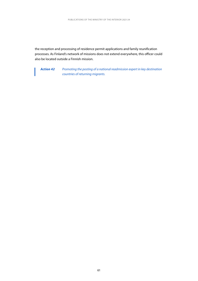the reception and processing of residence permit applications and family reunification processes. As Finland's network of missions does not extend everywhere, this officer could also be located outside a Finnish mission.

*Action 42 Promoting the posting of a national readmission expert in key destination countries of returning migrants.*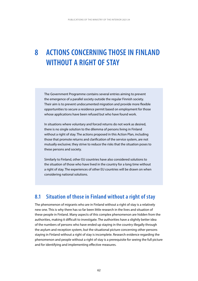# **8 ACTIONS CONCERNING THOSE IN FINLAND WITHOUT A RIGHT OF STAY**

The Government Programme contains several entries aiming to prevent the emergence of a parallel society outside the regular Finnish society. Their aim is to prevent undocumented migration and provide more flexible opportunities to secure a residence permit based on employment for those whose applications have been refused but who have found work.

In situations where voluntary and forced returns do not work as desired, there is no single solution to the dilemma of persons living in Finland without a right of stay. The actions proposed in this Action Plan, including those that promote returns and clarification of the service system, are not mutually exclusive; they strive to reduce the risks that the situation poses to these persons and society.

Similarly to Finland, other EU countries have also considered solutions to the situation of those who have lived in the country for a long time without a right of stay. The experiences of other EU countries will be drawn on when considering national solutions.

### **8.1 Situation of those in Finland without a right of stay**

The phenomenon of migrants who are in Finland without a right of stay is a relatively new one. This is why there has so far been little research in the lives and situation of these people in Finland. Many aspects of this complex phenomenon are hidden from the authorities, making it difficult to investigate. The authorities have a slightly better idea of the numbers of persons who have ended up staying in the country illegally through the asylum and reception system, but the situational picture concerning other persons staying in Finland without a right of stay is incomplete. Research evidence regarding the phenomenon and people without a right of stay is a prerequisite for seeing the full picture and for identifying and implementing effective measures.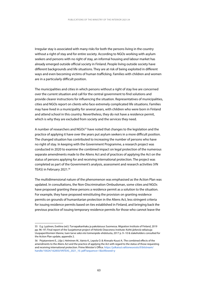Irregular stay is associated with many risks for both the persons living in the country without a right of stay and for entire society. According to NGOs working with asylum seekers and persons with no right of stay, an informal housing and labour market has already emerged outside official society in Finland. People living outside society have different backgrounds and life situations. They are at risk of being exploited in different ways and even becoming victims of human trafficking. Families with children and women are in a particularly difficult position.

The municipalities and cities in which persons without a right of stay live are concerned over the current situation and call for the central government to find solutions and provide clearer instructions for influencing the situation. Representatives of municipalities, cities and NGOs report on clients who face extremely complicated life situations. Families may have lived in a municipality for several years, with children who were born in Finland and attend school in this country. Nevertheless, they do not have a residence permit, which is why they are excluded from society and the services they need.

A number of researchers and NGOs<sup>55</sup> have noted that changes to the legislation and the practice of applying it have over the years put asylum seekers in a more difficult position. The changed situation has contributed to increasing the number of persons who have no right of stay. In keeping with the Government Programme, a research project was conducted in 2020 to examine the combined impact on legal protection of the numerous separate amendments made to the Aliens Act and of practices of applying the Act on the status of persons applying for and receiving international protection. The project was completed as part of the Government's analysis, assessment and research activities (VN TEAS) in February 2021.<sup>56</sup>

The multidimensional nature of the phenomenon was emphasised as the Action Plan was updated. In consultations, the Non-Discrimination Ombudsman, some cities and NGOs have proposed granting these persons a residence permit as a solution to the situation. For example, they have proposed reinstituting the provision on granting residence permits on grounds of humanitarian protection in the Aliens Act, less stringent criteria for issuing residence permits based on ties established in Finland, and bringing back the previous practice of issuing temporary residence permits for those who cannot leave the

<sup>55</sup> E.g. Lyytinen, Eveliina (ed.): Turvapaikanhaku ja pakolaisuus Suomessa. Migration Institute of Finland, 2019 pp. 96−97; Final report of the Suojattomat project of Helsinki Deaconess Institute: Kohti järkeviä ratkaisuja Uuspaperittomien tilanne, tuen tarve sekä viisi toimenpide-ehdotusta, 2017 p. 9−10 & stakeholders consulted for the Action Plan update, appendix 2.

<sup>56</sup> Pirjatanniemi E., Lilja I, Helminen M., Vainio K., Lepola O. & Alvesalo-Kuusi A.: The combined effects of the amendments to the Aliens Act and the practice of applying the Act with regard to the status of those requesting and receiving international protection. Prime Minister's Office. [https://julkaisut.valtioneuvosto.fi/bitstream/](https://julkaisut.valtioneuvosto.fi/bitstream/handle/10024/162850/VNTEAS_2021_10. pdf?sequence=1&isAllowed=y) [handle/10024/162850/VNTEAS\\_2021\\_10. pdf?sequence=1&isAllowed=y](https://julkaisut.valtioneuvosto.fi/bitstream/handle/10024/162850/VNTEAS_2021_10. pdf?sequence=1&isAllowed=y)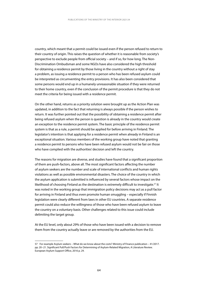country, which meant that a permit could be issued even if the person refused to return to their country of origin. This raises the question of whether it is reasonable from society's perspective to exclude people from official society – and if so, for how long. The Non-Discrimination Ombudsman and some NGOs have also considered the high threshold for obtaining a residence permit by those living in the country without a right of stay a problem, as issuing a residence permit to a person who has been refused asylum could be interpreted as circumventing the entry provisions. It has also been considered that some persons would end up in a humanely unreasonable situation if they were returned to their home country, even if the conclusion of the permit procedure is that they do not meet the criteria for being issued with a residence permit.

On the other hand, returns as a priority solution were brought up as the Action Plan was updated, in addition to the fact that returning is always possible if the person wishes to return. It was further pointed out that the possibility of obtaining a residence permit after being refused asylum when the person is question is already in the country would create an exception to the residence permit system. The basic principle of the residence permit system is that as a rule, a permit should be applied for before arriving in Finland. The legislator's intention is that applying for a residence permit when already in Finland is an exceptional situation. Various members of the working group have noted that granting a residence permit to persons who have been refused asylum would not be fair on those who have complied with the authorities' decision and left the country.

The reasons for migration are diverse, and studies have found that a significant proportion of them are push-factors, above all. The most significant factors affecting the number of asylum seekers are the number and scale of international conflicts and human rights violations as well as possible environmental disasters. The choice of the country in which the asylum application is submitted is influenced by several factors whose impact on the likelihood of choosing Finland as the destination is extremely difficult to investigate.<sup>57</sup> It was noted in the working group that immigration policy decisions may act as a pull factor for arriving in Finland and thus even promote human smuggling – especially if Finnish legislation were clearly different from laws in other EU countries. A separate residence permit could also reduce the willingness of those who have been refused asylum to leave the country on a voluntary basis. Other challenges related to this issue could include delimiting the target group.

At the EU level, only about 29% of those who have been issued with a decision to remove them from the country actually leave or are removed by the authorities from the EU.

<sup>57</sup> For example Asylum seekers – What do we know about the costs? Ministry of Finance publication – 41/2017. pp. 20−21. Significant Pull/Push Factors for Determining of Asylum-Related Migration, A Literature Review. European Asylum Support Office, 2016 p. 29.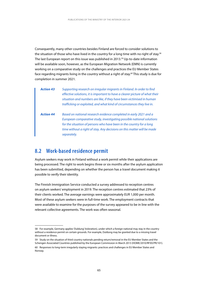Consequently, many other countries besides Finland are forced to consider solutions to the situation of those who have lived in the country for a long time with no right of stay.<sup>58</sup> The last European report on this issue was published in 2013.<sup>59</sup> Up-to-date information will be available soon, however, as the European Migration Network (EMN) is currently working on a comparative study on the challenges and practices the EU Member States face regarding migrants living in the country without a right of stay.<sup>60</sup> This study is due for completion in summer 2021.

| <b>Action 43</b> | Supporting research on irregular migrants in Finland. In order to find<br>effective solutions, it is important to have a clearer picture of what their<br>situation and numbers are like, if they have been victimised in human<br>trafficking or exploited, and what kind of circumstances they live in.    |
|------------------|--------------------------------------------------------------------------------------------------------------------------------------------------------------------------------------------------------------------------------------------------------------------------------------------------------------|
| <b>Action 44</b> | Based on national research evidence completed in early 2021 and a<br>European comparative study, investigating possible national solutions<br>for the situation of persons who have been in the country for a long<br>time without a right of stay. Any decisions on this matter will be made<br>separately. |

#### **8.2 Work-based residence permit**

Asylum seekers may work in Finland without a work permit while their applications are being processed. The right to work begins three or six months after the asylum application has been submitted, depending on whether the person has a travel document making it possible to verify their identity.

The Finnish Immigration Service conducted a survey addressed to reception centres on asylum seekers' employment in 2019. The reception centres estimated that 23% of their clients worked. The average earnings were approximately EUR 1,000 per month. Most of these asylum seekers were in full-time work. The employment contracts that were available to examine for the purposes of the survey appeared to be in line with the relevant collective agreements. The work was often seasonal.

<sup>58</sup> For example, Germany applies 'Duldung' (toleration), under which a foreign national may stay in the country without a residence permit on certain grounds. For example, Duldung may be granted due to a missing travel document or illness.

<sup>59</sup> Study on the situation of third country nationals pending return/removal in the EU Member States and the Schengen Associated Countries published by the European Commission in March 2013 (HOME/2010/RFXX/PR/101). 60 Responses to long-term irregularly staying migrants: practices and challenges in EU Member States and Norway.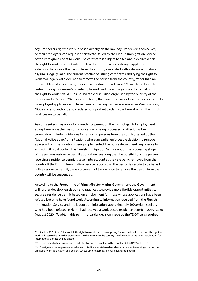Asylum seekers' right to work is based directly on the law. Asylum seekers themselves, or their employers, can request a certificate issued by the Finnish Immigration Service of the immigrant's right to work. The certificate is subject to a fee and it expires when the right to work expires. Under the law, the right to work no longer applies when a decision to remove the person from the country associated with a decision to refuse asylum is legally valid. The current practice of issuing certificates and tying the right to work to a legally valid decision to remove the person from the country, rather than an enforceable asylum decision, under an amendment made in 2019 have been found to restrict the asylum seeker's possibility to work and the employer's ability to find out if the right to work is valid.<sup>61</sup> In a round table discussion organised by the Ministry of the Interior on 15 October 2020 on streamlining the issuance of work-based residence permits to employed applicants who have been refused asylum, several employers' associations, NGOs and also authorities considered it important to clarify the time at which the right to work ceases to be valid.

Asylum seekers may apply for a residence permit on the basis of gainful employment at any time while their asylum application is being processed or after it has been turned down. Under guidelines for removing persons from the country issued by the National Police Board<sup>62</sup>, in situations where an earlier enforceable decision to remove a person from the country is being implemented, the police department responsible for enforcing it must contact the Finnish Immigration Service about the processing stage of the person's residence permit application, ensuring that the possibility of the person receiving a residence permit is taken into account as they are being removed from the country. If the Finnish Immigration Service reports that the person is certain to be issued with a residence permit, the enforcement of the decision to remove the person from the country will be suspended.

According to the Programme of Prime Minister Marin's Government, the Government will further develop legislation and practices to provide more flexible opportunities to secure a residence permit based on employment for those whose applications have been refused but who have found work. According to information received from the Finnish Immigration Service and the labour administration, approximately 300 asylum seekers who had been refused asylum<sup>63</sup> had received a work-based residence permit in 2019–2020 (August 2020). To obtain this permit, a partial decision made by the TE Office is required.

<sup>61</sup> Section 80.6 of the Aliens Act: If the right to work is based on applying for international protection, the right to work will cease when the decision to remove the alien from the country is enforceable or his or her application for international protection has lapsed.

<sup>62</sup> Enforcement of a decision on refusal of entry and removal from the country POL-2019-27213 p. 16.

<sup>63</sup> The figure includes persons who have applied for a work-based residence permit while waiting for a decision on their asylum application and persons whose asylum application has been turned down.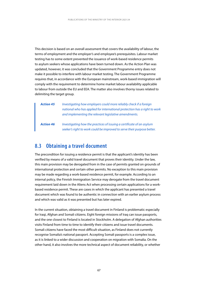This decision is based on an overall assessment that covers the availability of labour, the terms of employment and the employer's and employee's prerequisites. Labour market testing has to some extent prevented the issuance of work-based residence permits to asylum seekers whose applications have been turned down. As the Action Plan was updated, however, it was concluded that the Government Programme entry does not make it possible to interfere with labour market testing. The Government Programme requires that, in accordance with the European mainstream, work-based immigration will comply with the requirement to determine home market labour availability applicable to labour from outside the EU and EEA. The matter also involves thorny issues related to delimiting the target group.

*Action 45 Investigating how employers could more reliably check if a foreign national who has applied for international protection has a right to work and implementing the relevant legislative amendments.*

*Action 46 Investigating how the practices of issuing a certificate of an asylum seeker's right to work could be improved to serve their purpose better.*

### **8.3 Obtaining a travel document**

The precondition for issuing a residence permit is that the applicant's identity has been verified by means of a valid travel document that proves their identity. Under the law, this main provision may be derogated from in the case of permits granted on grounds of international protection and certain other permits. No exception to this main provision may be made regarding a work-based residence permit, for example. According to an internal policy, the Finnish Immigration Service may derogate from the travel document requirement laid down in the Aliens Act when processing certain applications for a workbased residence permit. These are cases in which the applicant has presented a travel document which was found to be authentic in connection with an earlier asylum process and which was valid as it was presented but has later expired.

In the current situation, obtaining a travel document in Finland is problematic especially for Iraqi, Afghan and Somali citizens. Eight foreign missions of Iraq can issue passports, and the one closest to Finland is located in Stockholm. A delegation of Afghan authorities visits Finland from time to time to identify their citizens and issue travel documents. Somali citizens have faced the most difficult situation, as Finland does not currently recognise Somalia's national passport. Accepting Somali passports is a complex issue, as it is linked to a wider discussion and cooperation on migration with Somalia. On the other hand, it also involves the more technical aspect of document reliability, or whether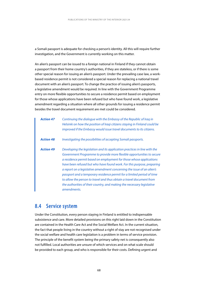a Somali passport is adequate for checking a person's identity. All this will require further investigation, and the Government is currently working on this matter.

An alien's passport can be issued to a foreign national in Finland if they cannot obtain a passport from their home country's authorities, if they are stateless, or if there is some other special reason for issuing an alien's passport. Under the prevailing case law, a workbased residence permit is not considered a special reason for replacing a national travel document with an alien's passport. To change the practice of issuing alien's passports, a legislative amendment would be required. In line with the Government Programme entry on more flexible opportunities to secure a residence permit based on employment for those whose applications have been refused but who have found work, a legislative amendment regarding a situation where all other grounds for issuing a residence permit besides the travel document requirement are met could be considered.

| <b>Action 47</b> | Continuing the dialogue with the Embassy of the Republic of Iraq in<br>Helsinki on how the position of Iragi citizens staying in Finland could be<br>improved if the Embassy would issue travel documents to its citizens.                                                                                                                                                                                                                                                                                                                                                                                               |
|------------------|--------------------------------------------------------------------------------------------------------------------------------------------------------------------------------------------------------------------------------------------------------------------------------------------------------------------------------------------------------------------------------------------------------------------------------------------------------------------------------------------------------------------------------------------------------------------------------------------------------------------------|
| <b>Action 48</b> | Investigating the possibilities of accepting Somali passports.                                                                                                                                                                                                                                                                                                                                                                                                                                                                                                                                                           |
| <b>Action 49</b> | Developing the legislation and its application practices in line with the<br>Government Programme to provide more flexible opportunities to secure<br>a residence permit based on employment for those whose applications<br>have been refused but who have found work. For this purpose, preparing<br>a report on a legislative amendment concerning the issue of an alien's<br>passport and a temporary residence permit for a limited period of time<br>to allow the person to travel and thus obtain a travel document from<br>the authorities of their country, and making the necessary legislative<br>amendments. |

#### **8.4 Service system**

Under the Constitution, every person staying in Finland is entitled to indispensable subsistence and care. More detailed provisions on this right laid down in the Constitution are contained in the Health Care Act and the Social Welfare Act. In the current situation, the fact that people living in the country without a right of stay are not recognised under the social welfare and health care legislation is a problem in terms of service provision. The principle of the benefit system being the primary safety net is consequently also not fulfilled. Local authorities are unsure of which services and on what scale should be provided to each group, and who is responsible for their costs. Defining urgent and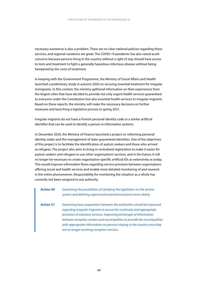necessary assistance is also a problem. There are no clear national policies regarding these services, and regional variations are great. The COVID-19 pandemic has also raised acute concerns because persons living in the country without a right of stay should have access to tests and treatment to fight a generally hazardous infectious disease without being hampered by the costs of treatment.

In keeping with the Government Programme, the Ministry of Social Affairs and Health launched a preliminary study in autumn 2020 on securing essential treatment for irregular immigrants. In this context, the ministry gathered information on their experiences from the largest cities that have decided to provide not only urgent health services guaranteed to everyone under the Constitution but also essential health services to irregular migrants. Based on these reports, the ministry will make the necessary decisions on further measures and launching a legislative process in spring 2021.

Irregular migrants do not have a Finnish personal identity code or a similar artificial identifier that can be used to identify a person in information systems.

In December 2020, the Ministry of Finance launched a project on reforming personal identity codes and the management of state-guaranteed identities. One of the objectives of this project is to facilitate the identification of asylum seekers and those who arrived as refugees. The project also aims to bring in centralised registration to make it easier for asylum seekers and refugees to use other organisations' services, and in the future, it will no longer be necessary to create organisation-specific artificial IDs as extensively as today. This would improve information flows regarding service provision between organisations offering social and health services and enable more detailed monitoring of and research in the entire phenomenon. Responsibility for monitoring the situation as a whole has currently not been assigned to any authority.

| <b>Action 50</b> | Examining the possibilities of clarifying the legislation on the service<br>system and defining urgent and essential assistance more clearly.                                                                                                                                                                                                                                                                                 |
|------------------|-------------------------------------------------------------------------------------------------------------------------------------------------------------------------------------------------------------------------------------------------------------------------------------------------------------------------------------------------------------------------------------------------------------------------------|
| <b>Action 51</b> | Examining how cooperation between the authorities should be improved<br>regarding irregular migrants to secure the continuity and appropriate<br>provision of statutory services. Improving exchanges of information<br>between reception centres and municipalities to provide the municipalities<br>with appropriate information on persons staying in the country once they<br>are no longer receiving reception services. |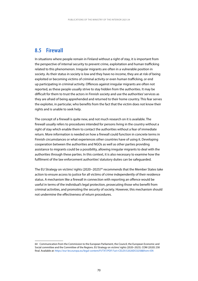## **8.5 Firewall**

In situations where people remain in Finland without a right of stay, it is important from the perspective of internal security to prevent crime, exploitation and human trafficking related to this phenomenon. Irregular migrants are often in a vulnerable position in society. As their status in society is low and they have no income, they are at risk of being exploited or becoming victims of criminal activity or even human trafficking, or end up participating in criminal activity. Offences against irregular migrants are often not reported, as these people usually strive to stay hidden from the authorities. It may be difficult for them to trust the actors in Finnish society and use the authorities' services as they are afraid of being apprehended and returned to their home country. This fear serves the exploiter, in particular, who benefits from the fact that the victim does not know their rights and is unable to seek help.

The concept of a firewall is quite new, and not much research on it is available. The firewall usually refers to procedures intended for persons living in the country without a right of stay which enable them to contact the authorities without a fear of immediate return. More information is needed on how a firewall could function in concrete terms in Finnish circumstances or what experiences other countries have of using it. Developing cooperation between the authorities and NGOs as well as other parties providing assistance to migrants could be a possibility, allowing irregular migrants to deal with the authorities through these parties. In this context, it is also necessary to examine how the fulfilment of the law enforcement authorities' statutory duties can be safeguarded.

The EU Strategy on victims' rights (2020−2025)64 recommends that the Member States take action to ensure access to justice for all victims of crime independently of their residence status. A mechanism like a firewall in connection with reporting an offence would be useful in terms of the individual's legal protection, prosecuting those who benefit from criminal activities, and promoting the security of society. However, this mechanism should not undermine the effectiveness of return procedures.

<sup>64</sup> Communication from the Commission to the European Parliament, the Council, the European Economic and Social committee and the Committee of the Regions. EU Strategy on victims' rights (2020–2025). COM (2020) 258 final. Available at[: https://eur-lex.europa.eu/legal-content/FI/TXT/PDF/?uri=CELEX:52020DC0258&from=EN](https://eur-lex.europa.eu/legal-content/EN/TXT/PDF/?uri=CELEX:52020DC0258&from=EN)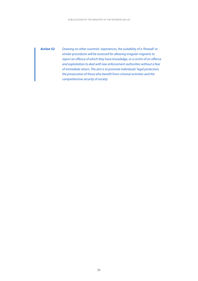*Action 52 Drawing on other countries' experiences, the suitability of a 'firewall' or similar procedures will be assessed for allowing irregular migrants to report an offence of which they have knowledge, or a victim of an offence and exploitation to deal with law enforcement authorities without a fear of immediate return. The aim is to promote individuals' legal protection, the prosecution of those who benefit from criminal activities and the comprehensive security of society.*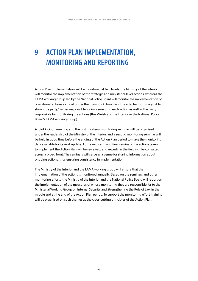# **9 ACTION PLAN IMPLEMENTATION, MONITORING AND REPORTING**

Action Plan implementation will be monitored at two levels: the Ministry of the Interior will monitor the implementation of the strategic and ministerial-level actions, whereas the LAMA working group led by the National Police Board will monitor the implementation of operational actions as it did under the previous Action Plan. The attached summary table shows the party/parties responsible for implementing each action as well as the party responsible for monitoring the actions (the Ministry of the Interior or the National Police Board's LAMA working group).

A joint kick-off meeting and the first mid-term monitoring seminar will be organised under the leadership of the Ministry of the Interior, and a second monitoring seminar will be held in good time before the ending of the Action Plan period to make the monitoring data available for its next update. At the mid-term and final seminars, the actions taken to implement the Action Plan will be reviewed, and experts in the field will be consulted across a broad front. The seminars will serve as a venue for sharing information about ongoing actions, thus ensuring consistency in implementation.

The Ministry of the Interior and the LAMA working group will ensure that the implementation of the actions is monitored annually. Based on the seminars and other monitoring efforts, the Ministry of the Interior and the National Police Board will report on the implementation of the measures of whose monitoring they are responsible for to the Ministerial Working Group on Internal Security and Strengthening the Rule of Law in the middle and at the end of the Action Plan period. To support the monitoring effort, training will be organised on such themes as the cross-cutting principles of the Action Plan.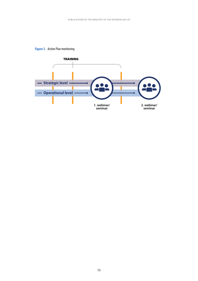

### **Figure 3.** Action Plan monitoring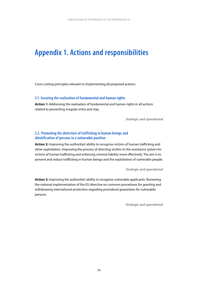## **Appendix 1. Actions and responsibilities**

Cross-cutting principles relevant to implementing all proposed actions:

#### **3.1. Securing the realisation of fundamental and human rights**

**Action 1:** Addressing the realisation of fundamental and human rights in all actions related to preventing irregular entry and stay.

**Strategic and operational**

#### **3.2. Promoting the detection of trafficking in human beings and identification of persons in a vulnerable position**

**Action 2:** Improving the authorities' ability to recognise victims of human trafficking and other exploitation. Improving the process of directing victims to the assistance system for victims of human trafficking and enforcing criminal liability more effectively. The aim is to prevent and reduce trafficking in human beings and the exploitation of vulnerable people.

**Strategic and operational**

**Action 3:** Improving the authorities' ability to recognise vulnerable applicants. Reviewing the national implementation of the EU directive on common procedures for granting and withdrawing international protection regarding procedural guarantees for vulnerable persons.

**Strategic and operational**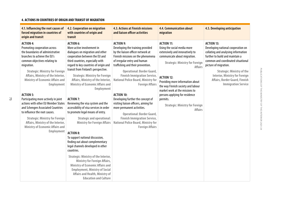#### **4. ACTIONS IN COUNTRIES OF ORIGIN AND TRANSIT OF MIGRATION**

| 4.1. Influencing the root causes of<br>forced migration in countries of<br>origin and transit                                                                                                                                                                                                                                                                                                                                                                                                                                                                                                                                         | 4.2. Cooperation on migration<br>with countries of origin and<br>transit                                                                                                                                                                                                                                                                                                                                                                                                                                                                                                                                                                                                                                                                                                                                                                                                                                                                                                                         | 4.3. Actions at Finnish missions<br>and liaison officer activities                                                                                                                                                                                                                                                                                                                                                                                                                                                                                                                                                                           | 4.4. Communication about<br>migration                                                                                                                                                                                                                                                                                                                                                                                      | 4.5. Developing anticipation                                                                                                                                                                                                                                                                                                            |
|---------------------------------------------------------------------------------------------------------------------------------------------------------------------------------------------------------------------------------------------------------------------------------------------------------------------------------------------------------------------------------------------------------------------------------------------------------------------------------------------------------------------------------------------------------------------------------------------------------------------------------------|--------------------------------------------------------------------------------------------------------------------------------------------------------------------------------------------------------------------------------------------------------------------------------------------------------------------------------------------------------------------------------------------------------------------------------------------------------------------------------------------------------------------------------------------------------------------------------------------------------------------------------------------------------------------------------------------------------------------------------------------------------------------------------------------------------------------------------------------------------------------------------------------------------------------------------------------------------------------------------------------------|----------------------------------------------------------------------------------------------------------------------------------------------------------------------------------------------------------------------------------------------------------------------------------------------------------------------------------------------------------------------------------------------------------------------------------------------------------------------------------------------------------------------------------------------------------------------------------------------------------------------------------------------|----------------------------------------------------------------------------------------------------------------------------------------------------------------------------------------------------------------------------------------------------------------------------------------------------------------------------------------------------------------------------------------------------------------------------|-----------------------------------------------------------------------------------------------------------------------------------------------------------------------------------------------------------------------------------------------------------------------------------------------------------------------------------------|
| <b>ACTION 4:</b><br>Promoting cooperation across<br>the boundaries of administrative<br>branches to achieve the EU's<br>common objectives relating to<br>migration.<br><b>Strategic: Ministry for Foreign</b><br>Affairs, Ministry of the Interior,<br><b>Ministry of Economic Affairs and</b><br><b>Employment</b><br><b>ACTION 5:</b><br>Participating more actively in joint<br>actions with other EU Member States<br>and Schengen Associated Countries<br>to influence the root causes.<br><b>Strategic: Ministry for Foreign</b><br>Affairs, Ministry of the Interior,<br><b>Ministry of Economic Affairs and</b><br>Employment | <b>ACTION 6:</b><br>More active involvement in<br>dialogues on migration and other<br>cooperation between the EU and<br>third countries, especially with<br>regard to key countries of origin and<br>transit from Finland's perspective.<br><b>Strategic: Ministry for Foreign</b><br>Affairs, Ministry of the Interior,<br><b>Ministry of Economic Affairs and</b><br>Employment<br><b>ACTION 7:</b><br>Reviewing the visa system and the<br>accessibility of visa services in order<br>to promote legal means of entry.<br><b>Strategic and operational:</b><br><b>Ministry for Foreign Affairs</b><br><b>ACTION 8:</b><br>To support national discussion,<br>finding out about complementary<br>legal channels developed in other<br>countries.<br><b>Strategic: Ministry of the Interior,</b><br><b>Ministry for Foreign Affairs,</b><br><b>Ministry of Economic Affairs and</b><br><b>Employment, Ministry of Social</b><br>Affairs and Health, Ministry of<br><b>Education and Culture</b> | <b>ACTION 9:</b><br>Developing the training provided<br>by the liaison officer network at<br>Finnish missions on the phenomena<br>of irregular entry and human<br>trafficking and their prevention.<br><b>Operational: Border Guard,</b><br><b>Finnish Immigration Service,</b><br><b>National Police Board, Ministry for</b><br><b>Foreign Affairs</b><br><b>ACTION 10:</b><br>Developing further the concept of<br>visiting liaison officers, aiming for<br>more permanent activities.<br><b>Operational: Border Guard,</b><br><b>Finnish Immigration Service,</b><br><b>National Police Board, Ministry for</b><br><b>Foreign Affairs</b> | <b>ACTION 11:</b><br>Using the social media more<br>extensively and innovatively to<br>communicate about migration.<br><b>Strategic: Ministry for Foreign</b><br><b>Affairs</b><br><b>ACTION 12:</b><br>Providing more information about<br>the way Finnish society and labour<br>market work at the missions to<br>persons applying for residence<br>permits.<br><b>Strategic: Ministry for Foreign</b><br><b>Affairs</b> | <b>ACTION 13:</b><br>Developing national cooperation on<br>collating and analysing information<br>further to build and maintain a<br>common and coordinated situational<br>picture of migration.<br><b>Strategic: Ministry of the</b><br>Interior, Ministry for Foreign<br>Affairs, Border Guard, Finnish<br><b>Immigration Service</b> |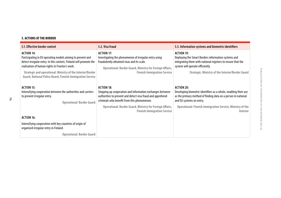#### **5. ACTIONS AT THE BORDER**

| 5.1. Effective border control                                                                                                                                                                                                                                                                                                     | 5.2. Visa fraud                                                                                                                                                                                                                                                                               | 5.3. Information systems and biometric identifiers                                                                                                                                                                                                         |
|-----------------------------------------------------------------------------------------------------------------------------------------------------------------------------------------------------------------------------------------------------------------------------------------------------------------------------------|-----------------------------------------------------------------------------------------------------------------------------------------------------------------------------------------------------------------------------------------------------------------------------------------------|------------------------------------------------------------------------------------------------------------------------------------------------------------------------------------------------------------------------------------------------------------|
| <b>ACTION 14:</b><br>Participating in EU operating models aiming to prevent and<br>detect irregular entry. In this context, Finland will promote the<br>realisation of human rights in Frontex's work.<br>Strategic and operational: Ministry of the Interior/Border<br>Guard, National Police Board, Finnish Immigration Service | <b>ACTION 17:</b><br>Investigating the phenomenon of irregular entry using<br>fraudulently obtained visas and its scale.<br>Operational: Border Guard, Ministry for Foreign Affairs,<br><b>Finnish Immigration Service</b>                                                                    | <b>ACTION 19:</b><br>Deploying the Smart Borders information systems and<br>integrating them with national registers to ensure that the<br>system will operate efficiently.<br><b>Strategic: Ministry of the Interior/Border Guard</b>                     |
| <b>ACTION 15:</b><br>Intensifying cooperation between the authorities and carriers<br>to prevent irregular entry.<br><b>Operational: Border Guard</b>                                                                                                                                                                             | <b>ACTION 18:</b><br>Stepping up cooperation and information exchanges between<br>authorities to prevent and detect visa fraud and apprehend<br>criminals who benefit from this phenomenon.<br>Operational: Border Guard, Ministry for Foreign Affairs,<br><b>Finnish Immigration Service</b> | <b>ACTION 20:</b><br>Developing biometric identifiers as a whole, enabling their use<br>as the primary method of finding data on a person in national<br>and EU systems on entry.<br>Operational: Finnish Immigration Service, Ministry of the<br>Interior |
| <b>ACTION 16:</b>                                                                                                                                                                                                                                                                                                                 |                                                                                                                                                                                                                                                                                               |                                                                                                                                                                                                                                                            |
| Intensifying cooperation with key countries of origin of<br>organised irregular entry in Finland.                                                                                                                                                                                                                                 |                                                                                                                                                                                                                                                                                               |                                                                                                                                                                                                                                                            |
| <b>Operational: Border Guard</b>                                                                                                                                                                                                                                                                                                  |                                                                                                                                                                                                                                                                                               |                                                                                                                                                                                                                                                            |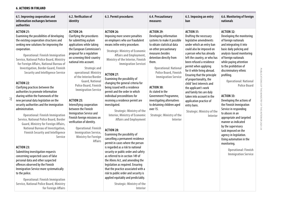#### **6. ACTIONS IN FINLAND**

77

| 6.1. Improving cooperation and<br>information exchanges between<br>authorities                                                                                                                                                                                                                                                                                                                                                                                                                                                                                                                                                                                                                                                                                                                                                                                                                                                                                                                                                                                                                                                                                                                                                                    | 6.2. Verification of<br>identity                                                                                                                                                                                                                                                                                                                                                                                                                                                                                                                                                                                                                                        | 6.3. Permit procedures                                                                                                                                                                                                                                                                                                                                                                                                                                                                                                                                                                                                                                                                                                                                                                                                                                                                                                                                                                                                                                                                                                      | 6.4. Precautionary<br>measures                                                                                                                                                                                                                                                                                                                                                                                                                                                      | 6.5. Imposing an entry<br>ban                                                                                                                                                                                                                                                                                                                                                                                                                                                                                                                   | 6.6. Monitoring of foreign<br>nationals                                                                                                                                                                                                                                                                                                                                                                                                                                                                                                                                                                                                                                                       |
|---------------------------------------------------------------------------------------------------------------------------------------------------------------------------------------------------------------------------------------------------------------------------------------------------------------------------------------------------------------------------------------------------------------------------------------------------------------------------------------------------------------------------------------------------------------------------------------------------------------------------------------------------------------------------------------------------------------------------------------------------------------------------------------------------------------------------------------------------------------------------------------------------------------------------------------------------------------------------------------------------------------------------------------------------------------------------------------------------------------------------------------------------------------------------------------------------------------------------------------------------|-------------------------------------------------------------------------------------------------------------------------------------------------------------------------------------------------------------------------------------------------------------------------------------------------------------------------------------------------------------------------------------------------------------------------------------------------------------------------------------------------------------------------------------------------------------------------------------------------------------------------------------------------------------------------|-----------------------------------------------------------------------------------------------------------------------------------------------------------------------------------------------------------------------------------------------------------------------------------------------------------------------------------------------------------------------------------------------------------------------------------------------------------------------------------------------------------------------------------------------------------------------------------------------------------------------------------------------------------------------------------------------------------------------------------------------------------------------------------------------------------------------------------------------------------------------------------------------------------------------------------------------------------------------------------------------------------------------------------------------------------------------------------------------------------------------------|-------------------------------------------------------------------------------------------------------------------------------------------------------------------------------------------------------------------------------------------------------------------------------------------------------------------------------------------------------------------------------------------------------------------------------------------------------------------------------------|-------------------------------------------------------------------------------------------------------------------------------------------------------------------------------------------------------------------------------------------------------------------------------------------------------------------------------------------------------------------------------------------------------------------------------------------------------------------------------------------------------------------------------------------------|-----------------------------------------------------------------------------------------------------------------------------------------------------------------------------------------------------------------------------------------------------------------------------------------------------------------------------------------------------------------------------------------------------------------------------------------------------------------------------------------------------------------------------------------------------------------------------------------------------------------------------------------------------------------------------------------------|
| <b>ACTION 21:</b><br>Examining the possibilities of developing<br>the existing cooperation structures and<br>seeking new solutions for improving the<br>cooperation.<br><b>Operational: Finnish Immigration</b><br><b>Service, National Police Board, Ministry</b><br>for Foreign Affairs, National Bureau of<br><b>Investigation, Border Guard, Finnish</b><br><b>Security and Intelligence Service</b><br><b>ACTION 22:</b><br>Clarifying practices between the<br>authorities to promote information<br>sharing within the framework of the<br>new personal data legislation on the<br>security authorities and the immigration<br>administration.<br><b>Operational: Finnish Immigration</b><br>Service, National Police Board, Border<br><b>Guard, Ministry for Foreign Affairs,</b><br>National Bureau of Investigation,<br><b>Finnish Security and Intelligence</b><br><b>Service</b><br><b>ACTION 23:</b><br>Submitting investigation requests<br>concerning suspected cases of false<br>personal data and other suspected<br>offences observed by the Finnish<br>Immigration Service more systematically<br>to the police.<br><b>Operational: Finnish Immigration</b><br>Service, National Police Board, Ministry<br>for Foreign Affairs | <b>ACTION 24:</b><br>Clarifying the procedures<br>for submitting asylum<br>applications while taking<br>the European Commission's<br>proposal for a regulation<br>on screening third-country<br>national into account.<br><b>Strategic and</b><br>operational: Ministry<br>of the Interior/Border<br><b>Guard, National</b><br><b>Police Board, Finnish</b><br><b>Immigration Service</b><br><b>ACTION 25:</b><br>Intensifying cooperation<br>between the Finnish<br>Immigration Service and<br>Finnish foreign missions on<br>verification of identity.<br><b>Operational: Finnish</b><br><b>Immigration Service,</b><br><b>Ministry for Foreign</b><br><b>Affairs</b> | <b>ACTION 26:</b><br>Imposing more severe penalties<br>on employers who use fraudulent<br>means inthe entry procedure.<br><b>Strategic: Ministry of Economic</b><br>Affairs and Employment,<br>Ministry of the Interior, Finnish<br><b>Immigration Servicei</b><br><b>ACTION 27:</b><br>Examining the possibility of<br>changing the general criteria for<br>being issued with a residence<br>permit and the order in which<br>individual preconditions for<br>receiving a residence permit are<br>investigated.<br><b>Strategic: Ministry of the</b><br><b>Interior, Ministry of Economic</b><br><b>Affairs and Employment</b><br><b>ACTION 28:</b><br>Examining the possibility of<br>cancelling a permanent residence<br>permit in cases where the person<br>is regarded as a risk to national<br>security or public order and safety<br>as referred to in section 149 of<br>the Aliens Act, and amending the<br>legislation as required. Ensuring<br>that the practice associated with a<br>risk to public order and security is<br>applied equitably and predictably.<br><b>Strategic: Ministry of the</b><br>Interior | <b>ACTION 29:</b><br>Developing information<br>systems to make it possible<br>to obtain statistical data<br>on other precautionary<br>measures besides<br>detention directly from<br>them.<br><b>Operational: National</b><br><b>Police Board, Finnish</b><br><b>Immigration Service</b><br><b>ACTION 30:</b><br>As stated in the<br>Government Programme,<br>investigating alternatives<br>to detaining children aged<br>over 15.<br><b>Strategic: Ministry of the</b><br>Interior | <b>ACTION 31:</b><br>Drafting the necessary<br>legislative amendments<br>under which an entry ban<br>could also be imposed on<br>a person who has already<br>left the country, or who has<br>been refused a residence<br>permit when applying<br>for it while living abroad.<br>Ensuring that the principle<br>of proportionality, the<br>child' best interests and<br>the applicant's work<br>and family ties are duly<br>taken into account in the<br>application practice of<br>entry bans.<br><b>Strategic: Ministry of the</b><br>Interior | <b>ACTION 32:</b><br>Developing the monitoring<br>of foreign nationals<br>and integrating it into<br>basic daily policing and<br>analysis-based monitoring<br>of foreign nationals<br>while paying attention<br>to the prohibition of<br>discriminatory ethnic<br>profiling.<br><b>Operational: National</b><br><b>Police Board</b><br><b>ACTION 33:</b><br>Developing the actions of<br>the Finnish Immigration<br>Service in responding<br>to abuses in an<br>appropriate and targeted<br>manner as indicated<br>by the supervisory<br>task imposed on the<br>agency in legislation.<br>Using automation in the<br>monitoring.<br><b>Operational: Finnish</b><br><b>Immigration Service</b> |

P<sub>u</sub>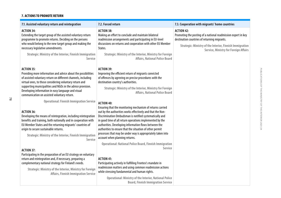#### **7. ACTIONS TO PROMOTE RETURN**

78

| 7.2. Forced return                                                                                                                                                                                                                                                                                                                                                                                                                                                                        | 7.3. Cooperation with migrants' home countries                                                                                                                                                                                                 |
|-------------------------------------------------------------------------------------------------------------------------------------------------------------------------------------------------------------------------------------------------------------------------------------------------------------------------------------------------------------------------------------------------------------------------------------------------------------------------------------------|------------------------------------------------------------------------------------------------------------------------------------------------------------------------------------------------------------------------------------------------|
| <b>ACTION 38:</b><br>Making an effort to conclude and maintain bilateral<br>readmission arrangements and participating in EU-level<br>discussions on returns and cooperation with other EU Member<br>States.                                                                                                                                                                                                                                                                              | <b>ACTION 42:</b><br>Promoting the posting of a national readmission expert in key<br>destination countries of returning migrants.<br><b>Strategic: Ministry of the Interior, Finnish Immigration</b><br>Service, Ministry for Foreign Affairs |
| <b>Strategic: Ministry of the Interior, Ministry for Foreign</b><br>Affairs, National Police Board                                                                                                                                                                                                                                                                                                                                                                                        |                                                                                                                                                                                                                                                |
| <b>ACTION 39:</b><br>Improving the efficient return of migrants convicted<br>of offences by agreeing on precise procedures with the<br>destination country's authorities.<br><b>Strategic: Ministry of the Interior, Ministry for Foreign</b><br>Affairs, National Police Board                                                                                                                                                                                                           |                                                                                                                                                                                                                                                |
| <b>ACTION 40:</b><br>Ensuring that the monitoring mechanism of returns carried<br>out by the authorities works effectively and that the Non-<br>Discrimination Ombudsman is notified systematically and<br>in good time of all return operations implemented by the<br>authorities. Developing information flows between the<br>authorities to ensure that the situation of other permit<br>processes that may be under way is appropriately taken into<br>account when planning returns. |                                                                                                                                                                                                                                                |
| <b>Operational: National Police Board, Finnish Immigration</b><br>Service<br><b>ACTION 41:</b><br>Participating actively in fulfilling Frontex's mandate in<br>readmission matters and using common readmission actions<br>while stressing fundamental and human rights.                                                                                                                                                                                                                  |                                                                                                                                                                                                                                                |
| <b>Strategic: Ministry of the Interior, Finnish Immigration</b><br><b>Service</b><br><b>Operational: Finnish Immigration Service</b><br><b>Affairs, Finnish Immigration Service</b>                                                                                                                                                                                                                                                                                                       | <b>Operational: Ministry of the Interior, National Police</b><br><b>Board, Finnish Immigration Service</b>                                                                                                                                     |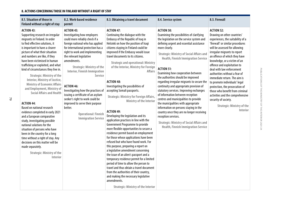#### **8. ACTIONS CONCERNING THOSE IN FINLAND WITHOUT A RIGHT OF STAY**

79

| 8.1. Situation of those in<br>Finland without a right of stay                                                                                                                                                                                                                                                                                                                                                                                                                                                                                                                                                                                                                                                                                                                                                                                                                                                                       | 8.2. Work-based residence<br>permit                                                                                                                                                                                                                                                                                                                                                                                                                                                                                                                                              | 8.3. Obtaining a travel document                                                                                                                                                                                                                                                                                                                                                                                                                                                                                                                                                                                                                                                                                                                                                                                                                                                                                                                                                                                                                                                                                                                                                                                                                                      | 8.4. Service system                                                                                                                                                                                                                                                                                                                                                                                                                                                                                                                                                                                                                                                                                                                                                                                                                               | 8.5. Firewall                                                                                                                                                                                                                                                                                                                                                                                                                                                                                                                                                                                               |
|-------------------------------------------------------------------------------------------------------------------------------------------------------------------------------------------------------------------------------------------------------------------------------------------------------------------------------------------------------------------------------------------------------------------------------------------------------------------------------------------------------------------------------------------------------------------------------------------------------------------------------------------------------------------------------------------------------------------------------------------------------------------------------------------------------------------------------------------------------------------------------------------------------------------------------------|----------------------------------------------------------------------------------------------------------------------------------------------------------------------------------------------------------------------------------------------------------------------------------------------------------------------------------------------------------------------------------------------------------------------------------------------------------------------------------------------------------------------------------------------------------------------------------|-----------------------------------------------------------------------------------------------------------------------------------------------------------------------------------------------------------------------------------------------------------------------------------------------------------------------------------------------------------------------------------------------------------------------------------------------------------------------------------------------------------------------------------------------------------------------------------------------------------------------------------------------------------------------------------------------------------------------------------------------------------------------------------------------------------------------------------------------------------------------------------------------------------------------------------------------------------------------------------------------------------------------------------------------------------------------------------------------------------------------------------------------------------------------------------------------------------------------------------------------------------------------|---------------------------------------------------------------------------------------------------------------------------------------------------------------------------------------------------------------------------------------------------------------------------------------------------------------------------------------------------------------------------------------------------------------------------------------------------------------------------------------------------------------------------------------------------------------------------------------------------------------------------------------------------------------------------------------------------------------------------------------------------------------------------------------------------------------------------------------------------|-------------------------------------------------------------------------------------------------------------------------------------------------------------------------------------------------------------------------------------------------------------------------------------------------------------------------------------------------------------------------------------------------------------------------------------------------------------------------------------------------------------------------------------------------------------------------------------------------------------|
| <b>ACTION 43:</b><br>Supporting research on irregular<br>migrants in Finland. In order<br>to find effective solutions, it<br>is important to have a clearer<br>picture of what their situation<br>and numbers are like, if they<br>have been victimised in human<br>trafficking or exploited, and what<br>kind of circumstances they live in.<br><b>Strategic: Ministry of the</b><br>Interior, Ministry of Justice,<br><b>Ministry of Economic Affairs</b><br>and Employment, Ministry of<br><b>Social Affairs and Health</b><br><b>ACTION 44:</b><br>Based on national research<br>evidence completed in early 2021<br>and a European comparative<br>study, investigating possible<br>national solutions for the<br>situation of persons who have<br>been in the country for a long<br>time without a right of stay. Any<br>decisions on this matter will be<br>made separately.<br><b>Strategic: Ministry of the</b><br>Interior | <b>ACTION 45:</b><br>Investigating how employers<br>could more reliably check if a<br>foreign national who has applied<br>for international protection has a<br>right to work and implementing<br>the relevant legislative<br>amendments.<br><b>Strategic: Ministry of the</b><br><b>Interior, Finnish Immigration</b><br>Service<br><b>ACTION 46:</b><br>Investigating how the practices of<br>issuing a certificate of an asylum<br>seeker's right to work could be<br>improved to serve their purpose<br>better.<br><b>Operational: Finnish</b><br><b>Immigration Service</b> | <b>ACTION 47:</b><br>Continuing the dialogue with the<br>Embassy of the Republic of Iraq in<br>Helsinki on how the position of Iraqi<br>citizens staying in Finland could be<br>improved if the Embassy would issue<br>travel documents to its citizens.<br><b>Strategic and operational: Ministry</b><br>of the Interior, Ministry for Foreign<br><b>Affairs</b><br><b>ACTION 48:</b><br>Investigating the possibilities of<br>accepting Somali passports.<br><b>Strategic: Ministry for Foreign Affairs,</b><br>Ministry of the Interior<br><b>ACTION 49:</b><br>Developing the legislation and its<br>application practices in line with the<br><b>Government Programme to provide</b><br>more flexible opportunities to secure a<br>residence permit based on employment<br>for those whose applications have been<br>refused but who have found work. For<br>this purpose, preparing a report on<br>a legislative amendment concerning<br>the issue of an alien's passport and a<br>temporary residence permit for a limited<br>period of time to allow the person to<br>travel and thus obtain a travel document<br>from the authorities of their country,<br>and making the necessary legislative<br>amendments.<br><b>Strategic: Ministry of the Interior</b> | <b>ACTION 50:</b><br>Examining the possibilities of clarifying<br>the legislation on the service system and<br>defining urgent and essential assistance<br>more clearly.<br><b>Strategic: Ministry of Social Affairs and</b><br><b>Health, Finnish Immigration Service</b><br><b>ACTION 51:</b><br>Examining how cooperation between<br>the authorities should be improved<br>regarding irregular migrants to secure the<br>continuity and appropriate provision of<br>statutory services. Improving exchanges<br>of information between reception<br>centres and municipalities to provide<br>the municipalities with appropriate<br>information on persons staying in the<br>country once they are no longer receiving<br>reception services.<br><b>Strategic: Ministry of Social Affairs and</b><br><b>Health, Finnish Immigration Service</b> | <b>ACTION 52:</b><br>Drawing on other countries'<br>experiences, the suitability of a<br>'firewall' or similar procedures<br>will be assessed for allowing<br>irregular migrants to report<br>an offence of which they have<br>knowledge, or a victim of an<br>offence and exploitation to<br>deal with law enforcement<br>authorities without a fear of<br>immediate return. The aim is<br>to promote individuals' legal<br>protection, the prosecution of<br>those who benefit from criminal<br>activities and the comprehensive<br>security of society.<br><b>Strategic: Ministry of the</b><br>Interior |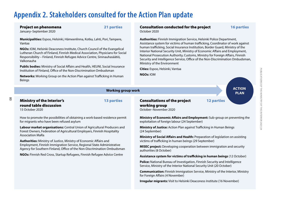# **Appendix 2. Stakeholders consulted for the Action Plan update**

Project on phenomena 21 parties

January–September 2020

**Municipalities:** Espoo, Helsinki, Hämeenlinna, Kotka, Lahti, Pori, Tampere, Vantaa

**NGOs:** IOM, Helsinki Deaconess Institute, Church Council of the Evangelical Lutheran Church of Finland, Finnish Medical Association, Physicians for Social Responsibility – Finland, Finnish Refugee Advice Centre, Sininauhasäätiö, Valkonauha

**Public bodies:** Ministry of Social Affairs and Health, HEUNI, Social Insurance Institution of Finland, Office of the Non-Discrimination Ombudsman

**Networks:** Working Group on the Action Plan against Trafficking in Human Beings

#### Consultation conducted for the project 16 parties October 2020

**ACTION PLAN**

**Authorities:** Finnish Immigration Service, Helsinki Police Department, Assistance system for victims of human trafficking, Coordinator of work against human trafficking, Social Insurance Institution, Border Guard, Ministry of the Interior National Security Unit, Ministry of Economic Affairs and Employment, National Prosecution Authority, Customs, Ministry for Foreign Affairs, Finnish Security and Intelligence Service, Office of the Non-Discrimination Ombudsman, Ministry of the Environment

**Cities:** Espoo, Helsinki, Vantaa

**NGOs:** IOM

### Ministry of the Interior's 13 parties round table discussion

**Working group work**

15 October 2020

80

How to promote the possibilities of obtaining a work-based residence permit for migrants who have been refused asylum

**Labour market organisations:** Central Union of Agricultural Producers and Forest Owners, Federation of Agricultural Employers, Finnish Hospitality Association MaRa

**Authorities:** Ministry of Justice, Ministry of Economic Affairs and Employment, Finnish Immigration Service, Regional State Administrative Agency for Southern Finland, Office of the Non-Discrimination Ombudsman

**NGOs:** Finnish Red Cross, Startup Refugees, Finnish Refugee Advice Centre

### Consultations of the project 12 parties working group

October–November 2020

**Ministry of Economic Affairs and Employment:** Sub-group on preventing the exploitation of foreign labour (24 September)

**Ministry of Justice:** Action Plan against Trafficking in Human Beings (24 September)

**Ministry of Social Affairs and Health: Preparation of legislation on assisting** victims of trafficking in human beings (29 September)

**MISEC project:** Developing cooperation between immigration and security authorities (8 October)

**Assistance system for victims of tracking in human beings** (12 October)

**Police:** National Bureau of Investigation, Finnish Security and Intelligence Service, Ministry of the Interior National Security Unit (20 October)

**Communication:** Finnish Immigration Service, Ministry of the Interior, Ministry for Foreign Affairs (4 November)

**Irregular migrants:** Visit to Helsinki Deaconess Institute (16 November)